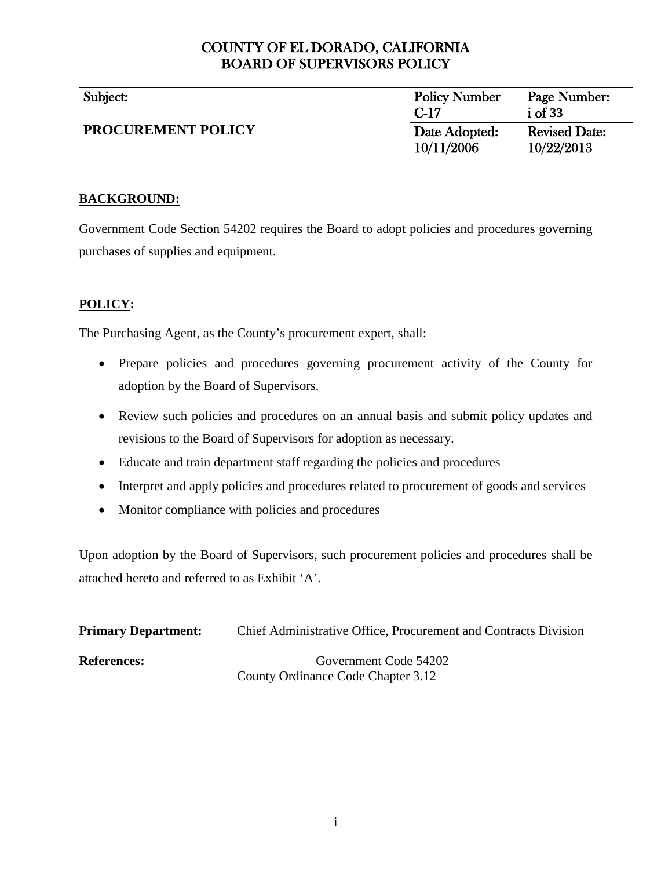# COUNTY OF EL DORADO, CALIFORNIA BOARD OF SUPERVISORS POLICY

| Subject:                  | <b>Policy Number</b><br>$C-17$ | Page Number:<br>$i$ of 33          |
|---------------------------|--------------------------------|------------------------------------|
| <b>PROCUREMENT POLICY</b> | Date Adopted:<br>10/11/2006    | <b>Revised Date:</b><br>10/22/2013 |

# **BACKGROUND:**

Government Code Section 54202 requires the Board to adopt policies and procedures governing purchases of supplies and equipment.

# <span id="page-0-0"></span>**POLICY:**

The Purchasing Agent, as the County's procurement expert, shall:

- Prepare policies and procedures governing procurement activity of the County for adoption by the Board of Supervisors.
- Review such policies and procedures on an annual basis and submit policy updates and revisions to the Board of Supervisors for adoption as necessary.
- Educate and train department staff regarding the policies and procedures
- Interpret and apply policies and procedures related to procurement of goods and services
- Monitor compliance with policies and procedures

Upon adoption by the Board of Supervisors, such procurement policies and procedures shall be attached hereto and referred to as Exhibit 'A'.

| <b>Primary Department:</b> | Chief Administrative Office, Procurement and Contracts Division |  |
|----------------------------|-----------------------------------------------------------------|--|
| <b>References:</b>         | Government Code 54202                                           |  |
|                            | County Ordinance Code Chapter 3.12                              |  |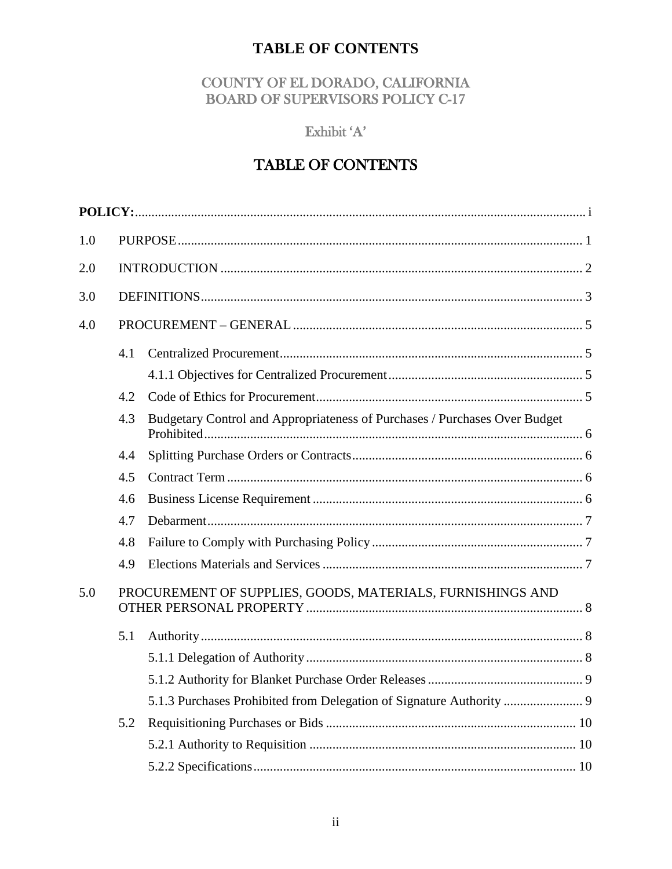# **TABLE OF CONTENTS**

# COUNTY OF EL DORADO, CALIFORNIA **BOARD OF SUPERVISORS POLICY C-17**

# Exhibit 'A'

# TABLE OF CONTENTS

| 1.0 |     |                                                                            |  |
|-----|-----|----------------------------------------------------------------------------|--|
| 2.0 |     |                                                                            |  |
| 3.0 |     |                                                                            |  |
| 4.0 |     |                                                                            |  |
|     | 4.1 |                                                                            |  |
|     |     |                                                                            |  |
|     | 4.2 |                                                                            |  |
|     | 4.3 | Budgetary Control and Appropriateness of Purchases / Purchases Over Budget |  |
|     | 4.4 |                                                                            |  |
|     | 4.5 |                                                                            |  |
|     | 4.6 |                                                                            |  |
|     | 4.7 |                                                                            |  |
|     | 4.8 |                                                                            |  |
|     | 4.9 |                                                                            |  |
| 5.0 |     | PROCUREMENT OF SUPPLIES, GOODS, MATERIALS, FURNISHINGS AND                 |  |
|     | 5.1 |                                                                            |  |
|     |     |                                                                            |  |
|     |     |                                                                            |  |
|     |     |                                                                            |  |
|     | 5.2 |                                                                            |  |
|     |     |                                                                            |  |
|     |     |                                                                            |  |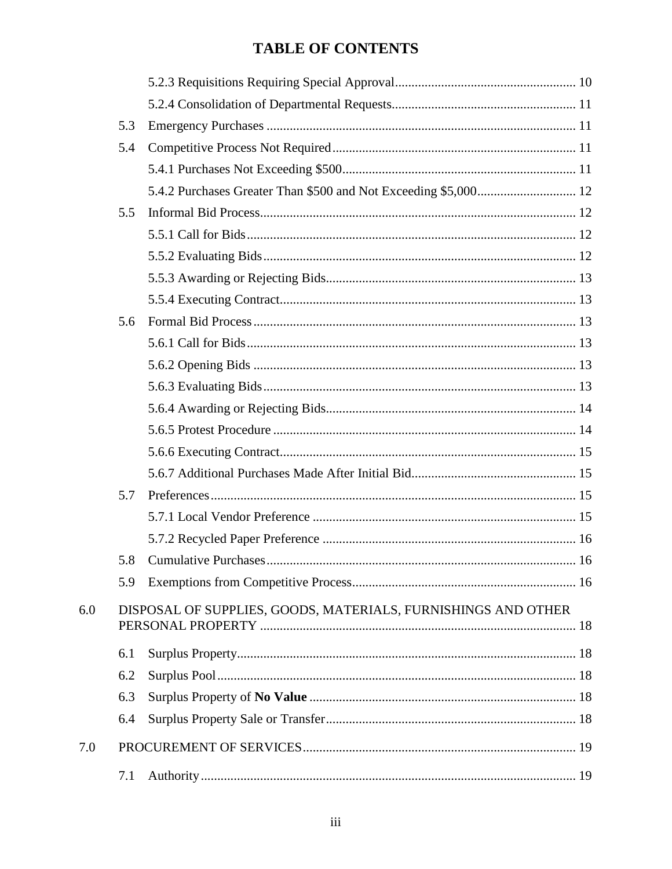# **TABLE OF CONTENTS**

|     | 5.3 |                                                               |  |
|-----|-----|---------------------------------------------------------------|--|
|     | 5.4 |                                                               |  |
|     |     |                                                               |  |
|     |     |                                                               |  |
|     | 5.5 |                                                               |  |
|     |     |                                                               |  |
|     |     |                                                               |  |
|     |     |                                                               |  |
|     |     |                                                               |  |
|     | 5.6 |                                                               |  |
|     |     |                                                               |  |
|     |     |                                                               |  |
|     |     |                                                               |  |
|     |     |                                                               |  |
|     |     |                                                               |  |
|     |     |                                                               |  |
|     |     |                                                               |  |
|     | 5.7 |                                                               |  |
|     |     |                                                               |  |
|     |     |                                                               |  |
|     | 5.8 |                                                               |  |
|     | 5.9 |                                                               |  |
| 6.0 |     | DISPOSAL OF SUPPLIES, GOODS, MATERIALS, FURNISHINGS AND OTHER |  |
|     | 6.1 |                                                               |  |
|     | 6.2 |                                                               |  |
|     | 6.3 |                                                               |  |
|     | 6.4 |                                                               |  |
| 7.0 |     |                                                               |  |
|     | 7.1 |                                                               |  |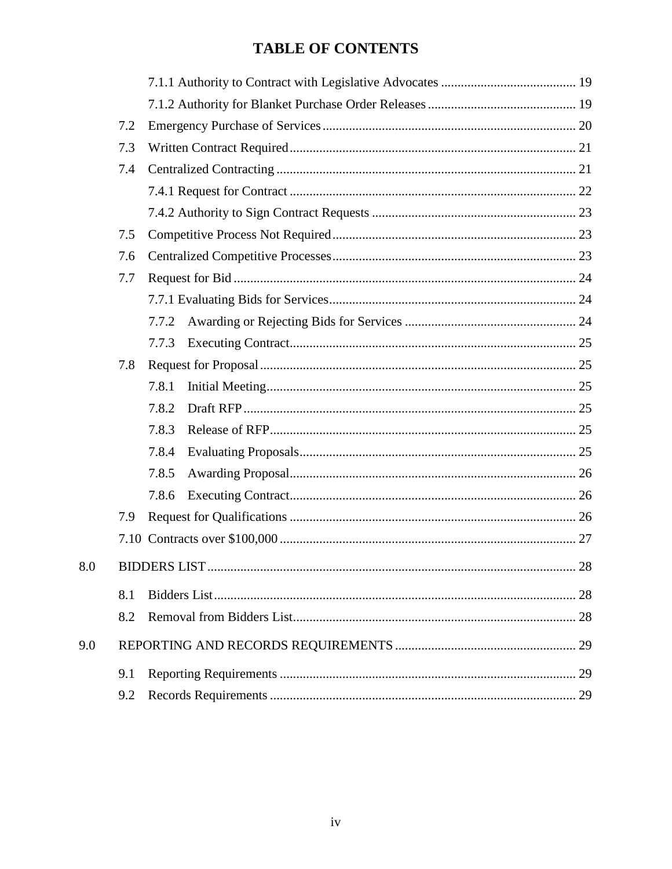# **TABLE OF CONTENTS**

| 7.2 |       |  |
|-----|-------|--|
| 7.3 |       |  |
| 7.4 |       |  |
|     |       |  |
|     |       |  |
| 7.5 |       |  |
| 7.6 |       |  |
| 7.7 |       |  |
|     |       |  |
|     | 7.7.2 |  |
|     | 7.7.3 |  |
| 7.8 |       |  |
|     | 7.8.1 |  |
|     | 7.8.2 |  |
|     | 7.8.3 |  |
|     | 7.8.4 |  |
|     | 7.8.5 |  |
|     | 7.8.6 |  |
| 7.9 |       |  |
|     |       |  |
|     |       |  |
| 8.1 |       |  |
| 8.2 |       |  |
|     |       |  |
| 9.1 |       |  |
| 9.2 |       |  |

 $8.0\,$ 

9.0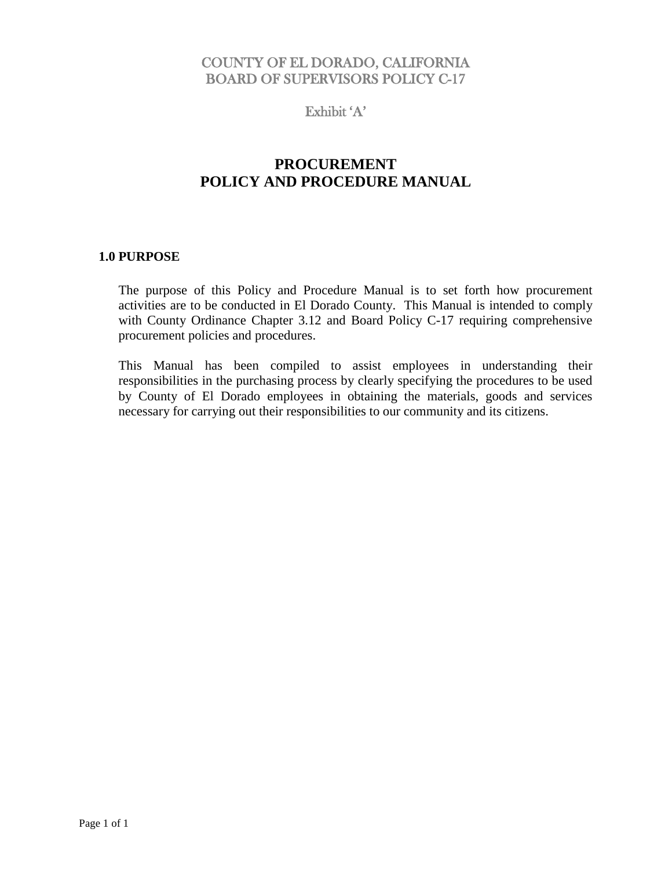# COUNTY OF EL DORADO, CALIFORNIA BOARD OF SUPERVISORS POLICY C-17

Exhibit 'A'

# **PROCUREMENT POLICY AND PROCEDURE MANUAL**

# <span id="page-4-0"></span>**1.0 PURPOSE**

The purpose of this Policy and Procedure Manual is to set forth how procurement activities are to be conducted in El Dorado County. This Manual is intended to comply with County Ordinance Chapter 3.12 and Board Policy C-17 requiring comprehensive procurement policies and procedures.

This Manual has been compiled to assist employees in understanding their responsibilities in the purchasing process by clearly specifying the procedures to be used by County of El Dorado employees in obtaining the materials, goods and services necessary for carrying out their responsibilities to our community and its citizens.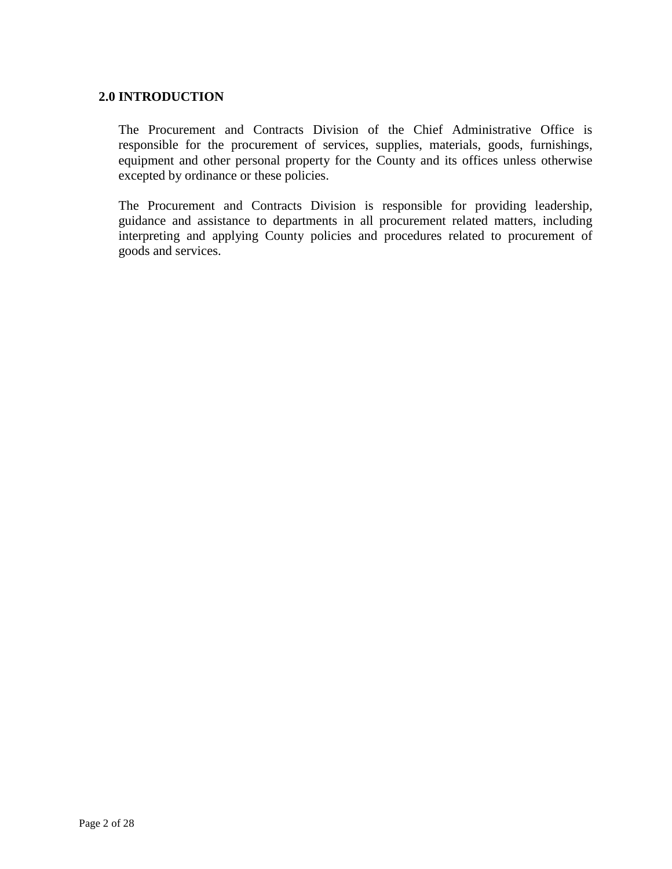# <span id="page-5-0"></span>**2.0 INTRODUCTION**

The Procurement and Contracts Division of the Chief Administrative Office is responsible for the procurement of services, supplies, materials, goods, furnishings, equipment and other personal property for the County and its offices unless otherwise excepted by ordinance or these policies.

The Procurement and Contracts Division is responsible for providing leadership, guidance and assistance to departments in all procurement related matters, including interpreting and applying County policies and procedures related to procurement of goods and services.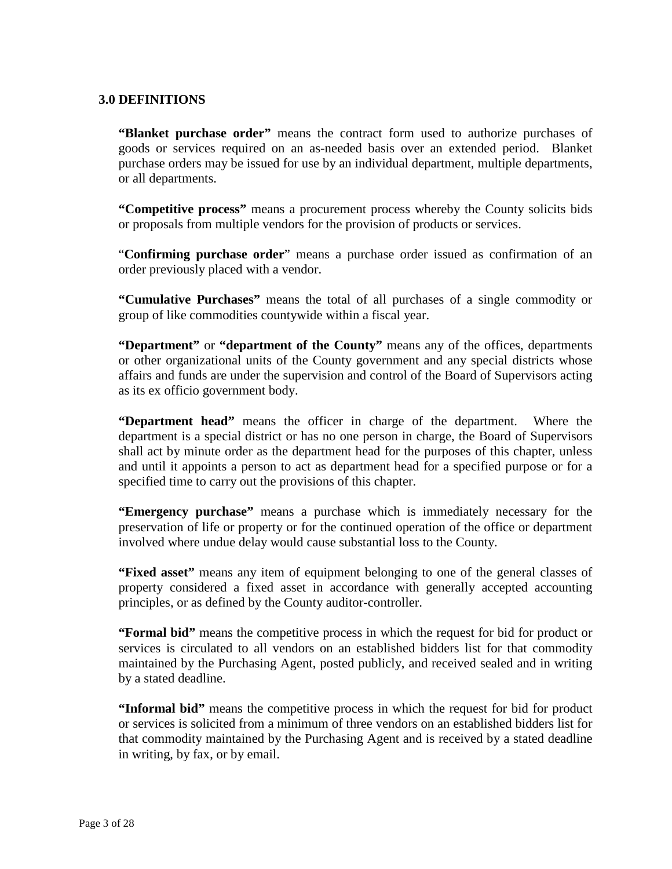# <span id="page-6-0"></span>**3.0 DEFINITIONS**

**"Blanket purchase order"** means the contract form used to authorize purchases of goods or services required on an as-needed basis over an extended period. Blanket purchase orders may be issued for use by an individual department, multiple departments, or all departments.

**"Competitive process"** means a procurement process whereby the County solicits bids or proposals from multiple vendors for the provision of products or services.

"**Confirming purchase order**" means a purchase order issued as confirmation of an order previously placed with a vendor.

**"Cumulative Purchases"** means the total of all purchases of a single commodity or group of like commodities countywide within a fiscal year.

**"Department"** or **"department of the County"** means any of the offices, departments or other organizational units of the County government and any special districts whose affairs and funds are under the supervision and control of the Board of Supervisors acting as its ex officio government body.

**"Department head"** means the officer in charge of the department. Where the department is a special district or has no one person in charge, the Board of Supervisors shall act by minute order as the department head for the purposes of this chapter, unless and until it appoints a person to act as department head for a specified purpose or for a specified time to carry out the provisions of this chapter.

**"Emergency purchase"** means a purchase which is immediately necessary for the preservation of life or property or for the continued operation of the office or department involved where undue delay would cause substantial loss to the County.

**"Fixed asset"** means any item of equipment belonging to one of the general classes of property considered a fixed asset in accordance with generally accepted accounting principles, or as defined by the County auditor-controller.

**"Formal bid"** means the competitive process in which the request for bid for product or services is circulated to all vendors on an established bidders list for that commodity maintained by the Purchasing Agent, posted publicly, and received sealed and in writing by a stated deadline.

**"Informal bid"** means the competitive process in which the request for bid for product or services is solicited from a minimum of three vendors on an established bidders list for that commodity maintained by the Purchasing Agent and is received by a stated deadline in writing, by fax, or by email.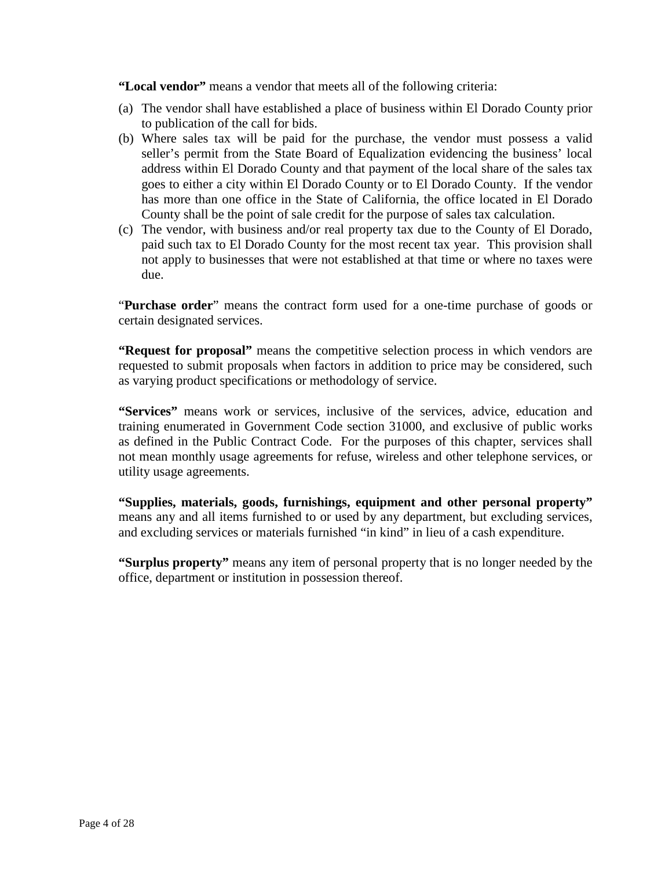**"Local vendor"** means a vendor that meets all of the following criteria:

- (a) The vendor shall have established a place of business within El Dorado County prior to publication of the call for bids.
- (b) Where sales tax will be paid for the purchase, the vendor must possess a valid seller's permit from the State Board of Equalization evidencing the business' local address within El Dorado County and that payment of the local share of the sales tax goes to either a city within El Dorado County or to El Dorado County. If the vendor has more than one office in the State of California, the office located in El Dorado County shall be the point of sale credit for the purpose of sales tax calculation.
- (c) The vendor, with business and/or real property tax due to the County of El Dorado, paid such tax to El Dorado County for the most recent tax year. This provision shall not apply to businesses that were not established at that time or where no taxes were due.

"**Purchase order**" means the contract form used for a one-time purchase of goods or certain designated services.

**"Request for proposal"** means the competitive selection process in which vendors are requested to submit proposals when factors in addition to price may be considered, such as varying product specifications or methodology of service.

**"Services"** means work or services, inclusive of the services, advice, education and training enumerated in Government Code section 31000, and exclusive of public works as defined in the Public Contract Code. For the purposes of this chapter, services shall not mean monthly usage agreements for refuse, wireless and other telephone services, or utility usage agreements.

**"Supplies, materials, goods, furnishings, equipment and other personal property"** means any and all items furnished to or used by any department, but excluding services, and excluding services or materials furnished "in kind" in lieu of a cash expenditure.

**"Surplus property"** means any item of personal property that is no longer needed by the office, department or institution in possession thereof.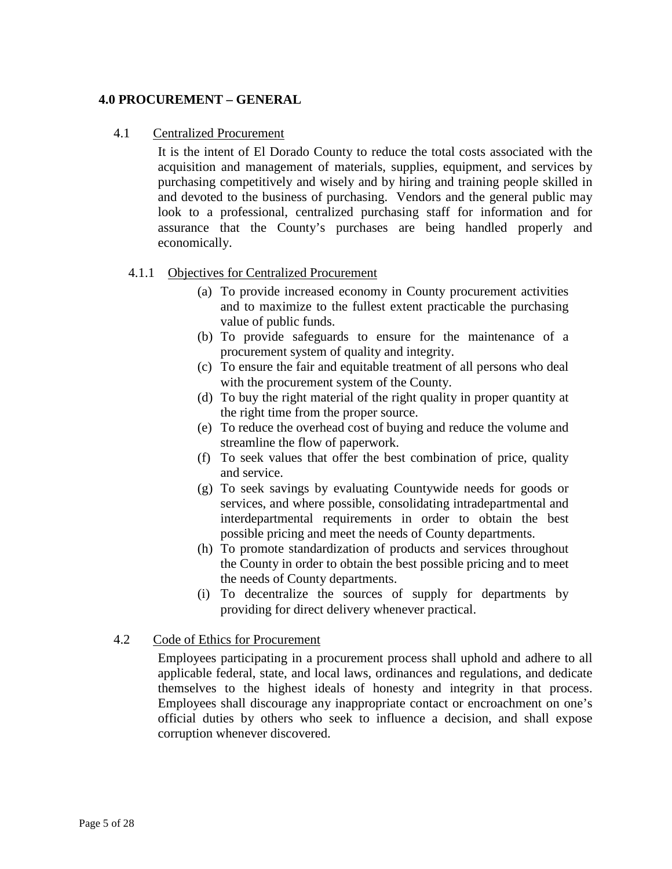# <span id="page-8-0"></span>**4.0 PROCUREMENT – GENERAL**

# <span id="page-8-1"></span>4.1 Centralized Procurement

It is the intent of El Dorado County to reduce the total costs associated with the acquisition and management of materials, supplies, equipment, and services by purchasing competitively and wisely and by hiring and training people skilled in and devoted to the business of purchasing. Vendors and the general public may look to a professional, centralized purchasing staff for information and for assurance that the County's purchases are being handled properly and economically.

# <span id="page-8-2"></span>4.1.1 Objectives for Centralized Procurement

- (a) To provide increased economy in County procurement activities and to maximize to the fullest extent practicable the purchasing value of public funds.
- (b) To provide safeguards to ensure for the maintenance of a procurement system of quality and integrity.
- (c) To ensure the fair and equitable treatment of all persons who deal with the procurement system of the County.
- (d) To buy the right material of the right quality in proper quantity at the right time from the proper source.
- (e) To reduce the overhead cost of buying and reduce the volume and streamline the flow of paperwork.
- (f) To seek values that offer the best combination of price, quality and service.
- (g) To seek savings by evaluating Countywide needs for goods or services, and where possible, consolidating intradepartmental and interdepartmental requirements in order to obtain the best possible pricing and meet the needs of County departments.
- (h) To promote standardization of products and services throughout the County in order to obtain the best possible pricing and to meet the needs of County departments.
- (i) To decentralize the sources of supply for departments by providing for direct delivery whenever practical.

# <span id="page-8-3"></span>4.2 Code of Ethics for Procurement

Employees participating in a procurement process shall uphold and adhere to all applicable federal, state, and local laws, ordinances and regulations, and dedicate themselves to the highest ideals of honesty and integrity in that process. Employees shall discourage any inappropriate contact or encroachment on one's official duties by others who seek to influence a decision, and shall expose corruption whenever discovered.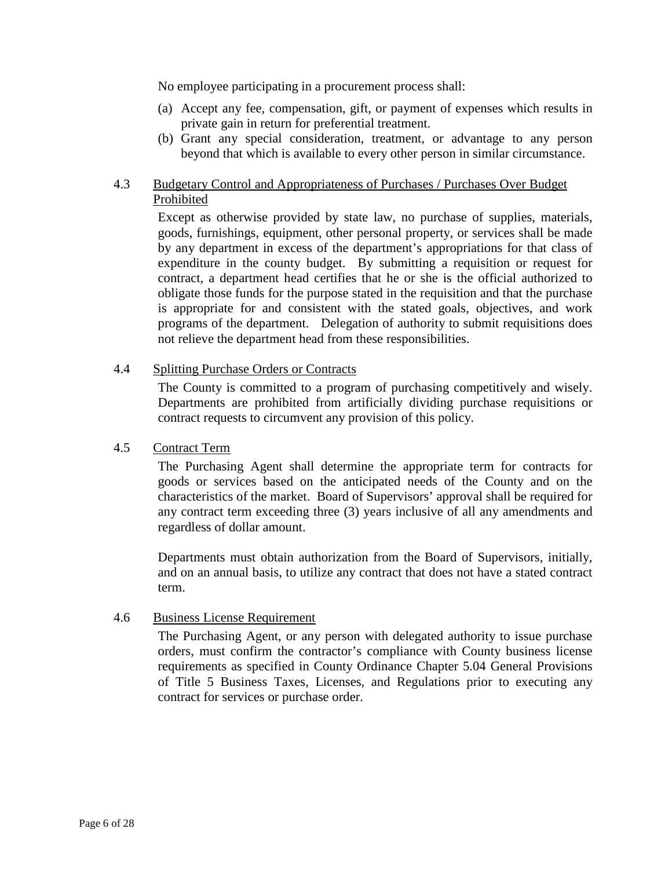No employee participating in a procurement process shall:

- (a) Accept any fee, compensation, gift, or payment of expenses which results in private gain in return for preferential treatment.
- (b) Grant any special consideration, treatment, or advantage to any person beyond that which is available to every other person in similar circumstance.

# <span id="page-9-0"></span>4.3 Budgetary Control and Appropriateness of Purchases / Purchases Over Budget Prohibited

Except as otherwise provided by state law, no purchase of supplies, materials, goods, furnishings, equipment, other personal property, or services shall be made by any department in excess of the department's appropriations for that class of expenditure in the county budget. By submitting a requisition or request for contract, a department head certifies that he or she is the official authorized to obligate those funds for the purpose stated in the requisition and that the purchase is appropriate for and consistent with the stated goals, objectives, and work programs of the department. Delegation of authority to submit requisitions does not relieve the department head from these responsibilities.

# <span id="page-9-1"></span>4.4 Splitting Purchase Orders or Contracts

The County is committed to a program of purchasing competitively and wisely. Departments are prohibited from artificially dividing purchase requisitions or contract requests to circumvent any provision of this policy.

# <span id="page-9-2"></span>4.5 Contract Term

The Purchasing Agent shall determine the appropriate term for contracts for goods or services based on the anticipated needs of the County and on the characteristics of the market. Board of Supervisors' approval shall be required for any contract term exceeding three (3) years inclusive of all any amendments and regardless of dollar amount.

Departments must obtain authorization from the Board of Supervisors, initially, and on an annual basis, to utilize any contract that does not have a stated contract term.

# <span id="page-9-3"></span>4.6 Business License Requirement

The Purchasing Agent, or any person with delegated authority to issue purchase orders, must confirm the contractor's compliance with County business license requirements as specified in County Ordinance Chapter 5.04 General Provisions of Title 5 Business Taxes, Licenses, and Regulations prior to executing any contract for services or purchase order.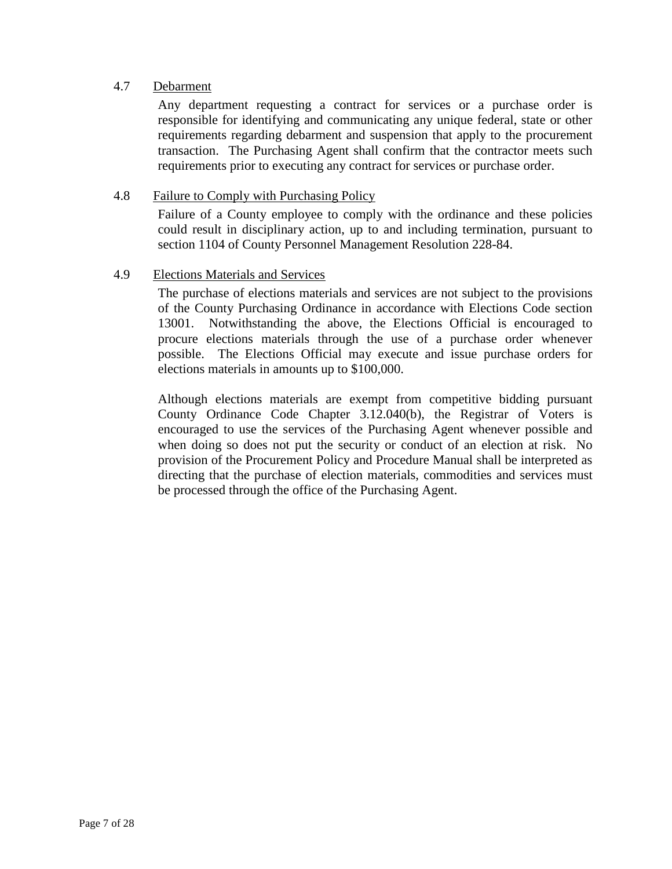# <span id="page-10-0"></span>4.7 Debarment

Any department requesting a contract for services or a purchase order is responsible for identifying and communicating any unique federal, state or other requirements regarding debarment and suspension that apply to the procurement transaction. The Purchasing Agent shall confirm that the contractor meets such requirements prior to executing any contract for services or purchase order.

# <span id="page-10-1"></span>4.8 Failure to Comply with Purchasing Policy

Failure of a County employee to comply with the ordinance and these policies could result in disciplinary action, up to and including termination, pursuant to section 1104 of County Personnel Management Resolution 228-84.

# <span id="page-10-2"></span>4.9 Elections Materials and Services

The purchase of elections materials and services are not subject to the provisions of the County Purchasing Ordinance in accordance with Elections Code section 13001. Notwithstanding the above, the Elections Official is encouraged to procure elections materials through the use of a purchase order whenever possible. The Elections Official may execute and issue purchase orders for elections materials in amounts up to \$100,000.

Although elections materials are exempt from competitive bidding pursuant County Ordinance Code Chapter 3.12.040(b), the Registrar of Voters is encouraged to use the services of the Purchasing Agent whenever possible and when doing so does not put the security or conduct of an election at risk. No provision of the Procurement Policy and Procedure Manual shall be interpreted as directing that the purchase of election materials, commodities and services must be processed through the office of the Purchasing Agent.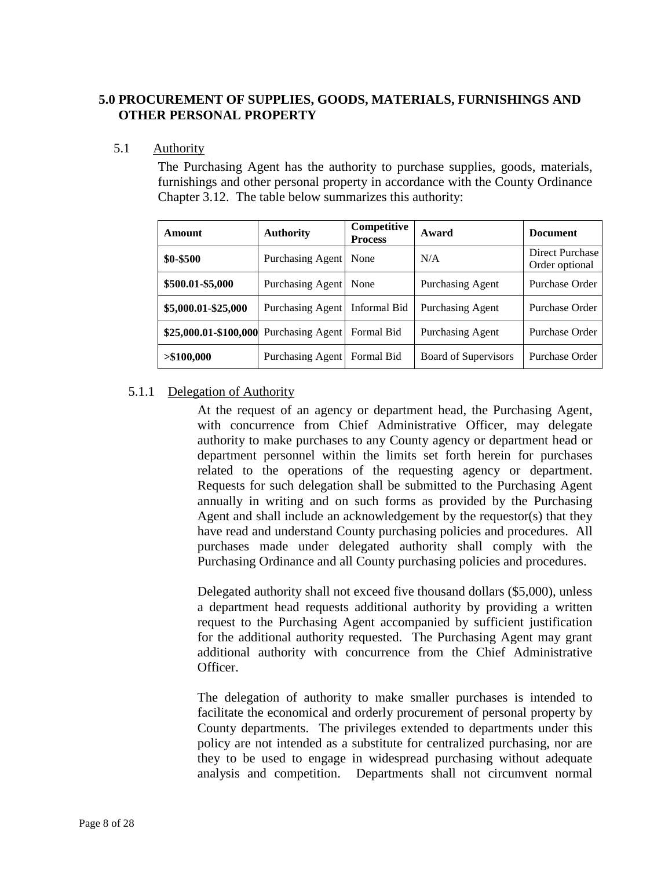# <span id="page-11-0"></span>**5.0 PROCUREMENT OF SUPPLIES, GOODS, MATERIALS, FURNISHINGS AND OTHER PERSONAL PROPERTY**

### <span id="page-11-1"></span>5.1 Authority

The Purchasing Agent has the authority to purchase supplies, goods, materials, furnishings and other personal property in accordance with the County Ordinance Chapter 3.12. The table below summarizes this authority:

| Amount                | <b>Authority</b> | Competitive<br><b>Process</b> | Award                   | <b>Document</b>                   |
|-----------------------|------------------|-------------------------------|-------------------------|-----------------------------------|
| \$0-\$500             | Purchasing Agent | None                          | N/A                     | Direct Purchase<br>Order optional |
| \$500.01-\$5,000      | Purchasing Agent | None                          | <b>Purchasing Agent</b> | Purchase Order                    |
| \$5,000.01-\$25,000   | Purchasing Agent | Informal Bid                  | <b>Purchasing Agent</b> | Purchase Order                    |
| \$25,000.01-\$100,000 | Purchasing Agent | Formal Bid                    | <b>Purchasing Agent</b> | Purchase Order                    |
| > \$100,000           | Purchasing Agent | Formal Bid                    | Board of Supervisors    | Purchase Order                    |

# <span id="page-11-2"></span>5.1.1 Delegation of Authority

At the request of an agency or department head, the Purchasing Agent, with concurrence from Chief Administrative Officer, may delegate authority to make purchases to any County agency or department head or department personnel within the limits set forth herein for purchases related to the operations of the requesting agency or department. Requests for such delegation shall be submitted to the Purchasing Agent annually in writing and on such forms as provided by the Purchasing Agent and shall include an acknowledgement by the requestor(s) that they have read and understand County purchasing policies and procedures. All purchases made under delegated authority shall comply with the Purchasing Ordinance and all County purchasing policies and procedures.

Delegated authority shall not exceed five thousand dollars (\$5,000), unless a department head requests additional authority by providing a written request to the Purchasing Agent accompanied by sufficient justification for the additional authority requested. The Purchasing Agent may grant additional authority with concurrence from the Chief Administrative Officer.

The delegation of authority to make smaller purchases is intended to facilitate the economical and orderly procurement of personal property by County departments. The privileges extended to departments under this policy are not intended as a substitute for centralized purchasing, nor are they to be used to engage in widespread purchasing without adequate analysis and competition. Departments shall not circumvent normal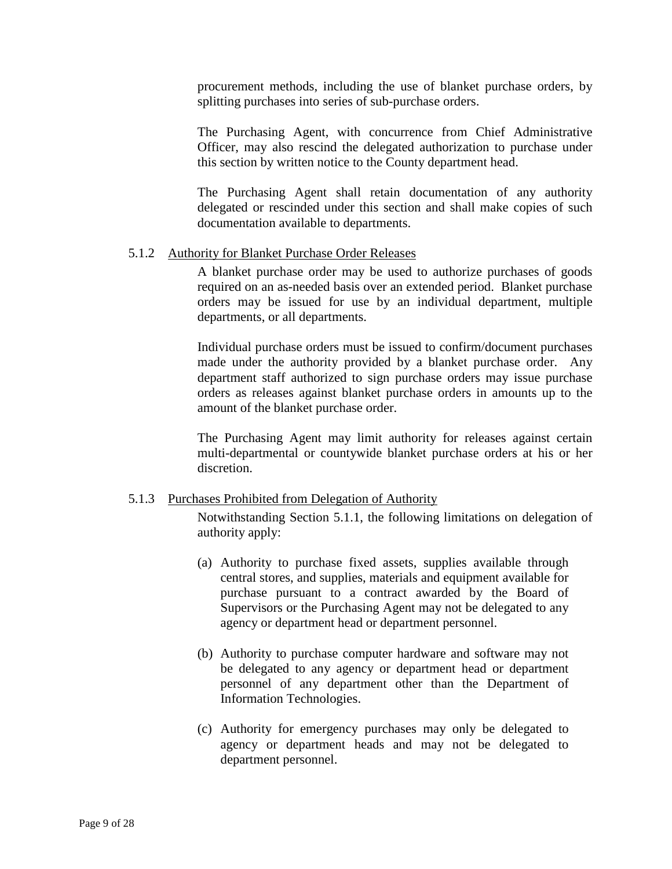procurement methods, including the use of blanket purchase orders, by splitting purchases into series of sub-purchase orders.

The Purchasing Agent, with concurrence from Chief Administrative Officer, may also rescind the delegated authorization to purchase under this section by written notice to the County department head.

The Purchasing Agent shall retain documentation of any authority delegated or rescinded under this section and shall make copies of such documentation available to departments.

# <span id="page-12-0"></span>5.1.2 Authority for Blanket Purchase Order Releases

A blanket purchase order may be used to authorize purchases of goods required on an as-needed basis over an extended period. Blanket purchase orders may be issued for use by an individual department, multiple departments, or all departments.

Individual purchase orders must be issued to confirm/document purchases made under the authority provided by a blanket purchase order. Any department staff authorized to sign purchase orders may issue purchase orders as releases against blanket purchase orders in amounts up to the amount of the blanket purchase order.

The Purchasing Agent may limit authority for releases against certain multi-departmental or countywide blanket purchase orders at his or her discretion.

# <span id="page-12-1"></span>5.1.3 Purchases Prohibited from Delegation of Authority

Notwithstanding Section 5.1.1, the following limitations on delegation of authority apply:

- (a) Authority to purchase fixed assets, supplies available through central stores, and supplies, materials and equipment available for purchase pursuant to a contract awarded by the Board of Supervisors or the Purchasing Agent may not be delegated to any agency or department head or department personnel.
- (b) Authority to purchase computer hardware and software may not be delegated to any agency or department head or department personnel of any department other than the Department of Information Technologies.
- (c) Authority for emergency purchases may only be delegated to agency or department heads and may not be delegated to department personnel.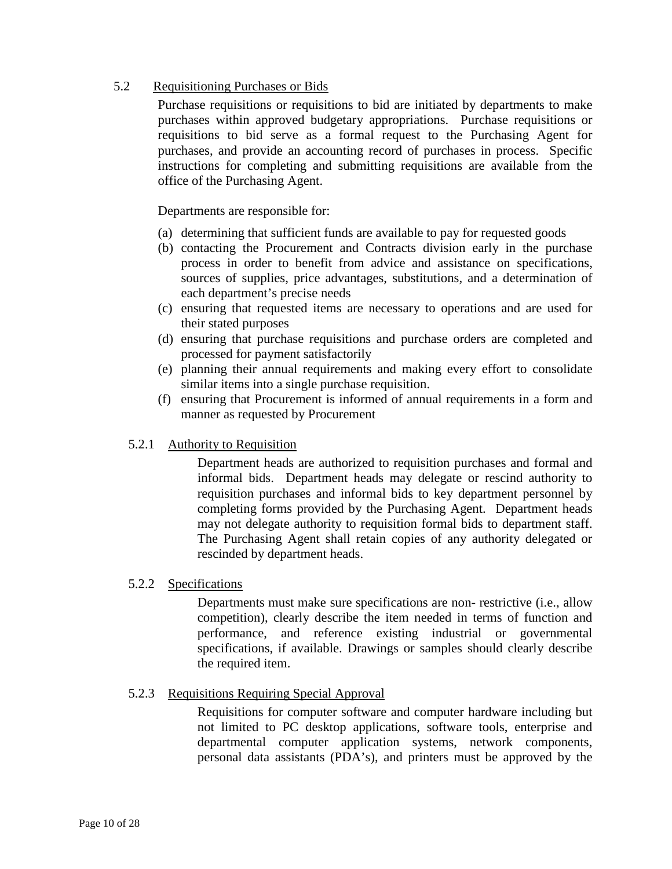# <span id="page-13-0"></span>5.2 Requisitioning Purchases or Bids

Purchase requisitions or requisitions to bid are initiated by departments to make purchases within approved budgetary appropriations. Purchase requisitions or requisitions to bid serve as a formal request to the Purchasing Agent for purchases, and provide an accounting record of purchases in process. Specific instructions for completing and submitting requisitions are available from the office of the Purchasing Agent.

Departments are responsible for:

- (a) determining that sufficient funds are available to pay for requested goods
- (b) contacting the Procurement and Contracts division early in the purchase process in order to benefit from advice and assistance on specifications, sources of supplies, price advantages, substitutions, and a determination of each department's precise needs
- (c) ensuring that requested items are necessary to operations and are used for their stated purposes
- (d) ensuring that purchase requisitions and purchase orders are completed and processed for payment satisfactorily
- (e) planning their annual requirements and making every effort to consolidate similar items into a single purchase requisition.
- (f) ensuring that Procurement is informed of annual requirements in a form and manner as requested by Procurement

# <span id="page-13-1"></span>5.2.1 Authority to Requisition

Department heads are authorized to requisition purchases and formal and informal bids. Department heads may delegate or rescind authority to requisition purchases and informal bids to key department personnel by completing forms provided by the Purchasing Agent. Department heads may not delegate authority to requisition formal bids to department staff. The Purchasing Agent shall retain copies of any authority delegated or rescinded by department heads.

#### <span id="page-13-2"></span>5.2.2 Specifications

Departments must make sure specifications are non- restrictive (i.e., allow competition), clearly describe the item needed in terms of function and performance, and reference existing industrial or governmental specifications, if available. Drawings or samples should clearly describe the required item.

# <span id="page-13-3"></span>5.2.3 Requisitions Requiring Special Approval

Requisitions for computer software and computer hardware including but not limited to PC desktop applications, software tools, enterprise and departmental computer application systems, network components, personal data assistants (PDA's), and printers must be approved by the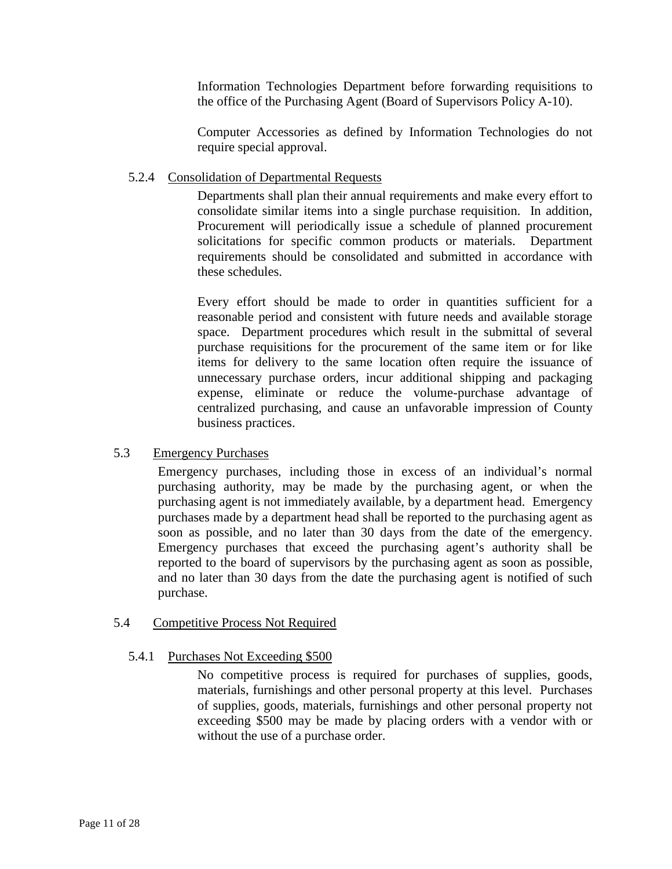Information Technologies Department before forwarding requisitions to the office of the Purchasing Agent (Board of Supervisors Policy A-10).

Computer Accessories as defined by Information Technologies do not require special approval.

# <span id="page-14-0"></span>5.2.4 Consolidation of Departmental Requests

Departments shall plan their annual requirements and make every effort to consolidate similar items into a single purchase requisition. In addition, Procurement will periodically issue a schedule of planned procurement solicitations for specific common products or materials. Department requirements should be consolidated and submitted in accordance with these schedules.

Every effort should be made to order in quantities sufficient for a reasonable period and consistent with future needs and available storage space. Department procedures which result in the submittal of several purchase requisitions for the procurement of the same item or for like items for delivery to the same location often require the issuance of unnecessary purchase orders, incur additional shipping and packaging expense, eliminate or reduce the volume-purchase advantage of centralized purchasing, and cause an unfavorable impression of County business practices.

# <span id="page-14-1"></span>5.3 Emergency Purchases

Emergency purchases, including those in excess of an individual's normal purchasing authority, may be made by the purchasing agent, or when the purchasing agent is not immediately available, by a department head. Emergency purchases made by a department head shall be reported to the purchasing agent as soon as possible, and no later than 30 days from the date of the emergency. Emergency purchases that exceed the purchasing agent's authority shall be reported to the board of supervisors by the purchasing agent as soon as possible, and no later than 30 days from the date the purchasing agent is notified of such purchase.

# <span id="page-14-3"></span><span id="page-14-2"></span>5.4 Competitive Process Not Required

# 5.4.1 Purchases Not Exceeding \$500

No competitive process is required for purchases of supplies, goods, materials, furnishings and other personal property at this level. Purchases of supplies, goods, materials, furnishings and other personal property not exceeding \$500 may be made by placing orders with a vendor with or without the use of a purchase order.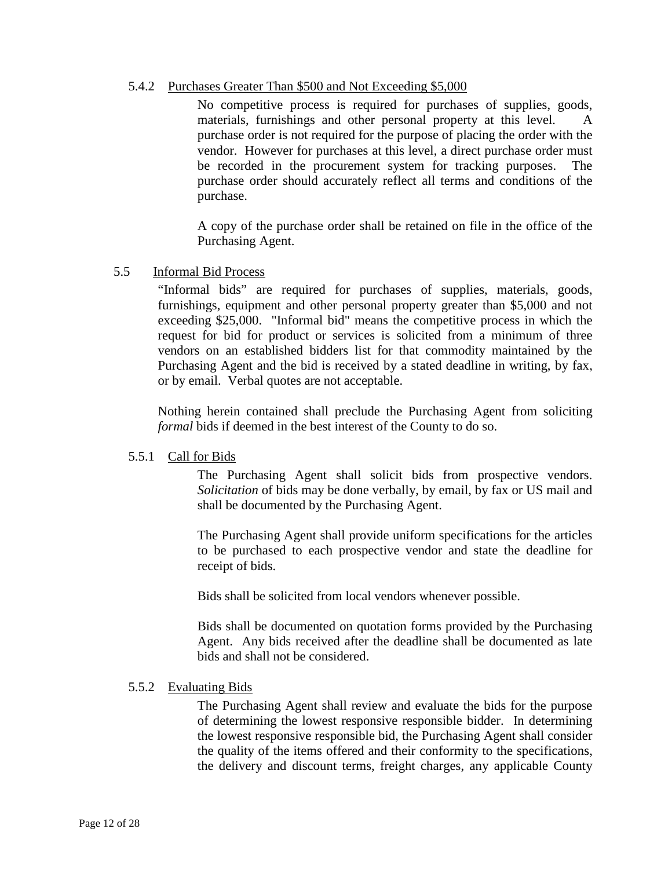# <span id="page-15-0"></span>5.4.2 Purchases Greater Than \$500 and Not Exceeding \$5,000

No competitive process is required for purchases of supplies, goods, materials, furnishings and other personal property at this level. A purchase order is not required for the purpose of placing the order with the vendor. However for purchases at this level, a direct purchase order must be recorded in the procurement system for tracking purposes. The purchase order should accurately reflect all terms and conditions of the purchase.

A copy of the purchase order shall be retained on file in the office of the Purchasing Agent.

#### <span id="page-15-1"></span>5.5 Informal Bid Process

"Informal bids" are required for purchases of supplies, materials, goods, furnishings, equipment and other personal property greater than \$5,000 and not exceeding \$25,000. "Informal bid" means the competitive process in which the request for bid for product or services is solicited from a minimum of three vendors on an established bidders list for that commodity maintained by the Purchasing Agent and the bid is received by a stated deadline in writing, by fax, or by email. Verbal quotes are not acceptable.

Nothing herein contained shall preclude the Purchasing Agent from soliciting *formal* bids if deemed in the best interest of the County to do so.

# <span id="page-15-2"></span>5.5.1 Call for Bids

The Purchasing Agent shall solicit bids from prospective vendors. *Solicitation* of bids may be done verbally, by email, by fax or US mail and shall be documented by the Purchasing Agent.

The Purchasing Agent shall provide uniform specifications for the articles to be purchased to each prospective vendor and state the deadline for receipt of bids.

Bids shall be solicited from local vendors whenever possible.

Bids shall be documented on quotation forms provided by the Purchasing Agent. Any bids received after the deadline shall be documented as late bids and shall not be considered.

#### <span id="page-15-3"></span>5.5.2 Evaluating Bids

The Purchasing Agent shall review and evaluate the bids for the purpose of determining the lowest responsive responsible bidder. In determining the lowest responsive responsible bid, the Purchasing Agent shall consider the quality of the items offered and their conformity to the specifications, the delivery and discount terms, freight charges, any applicable County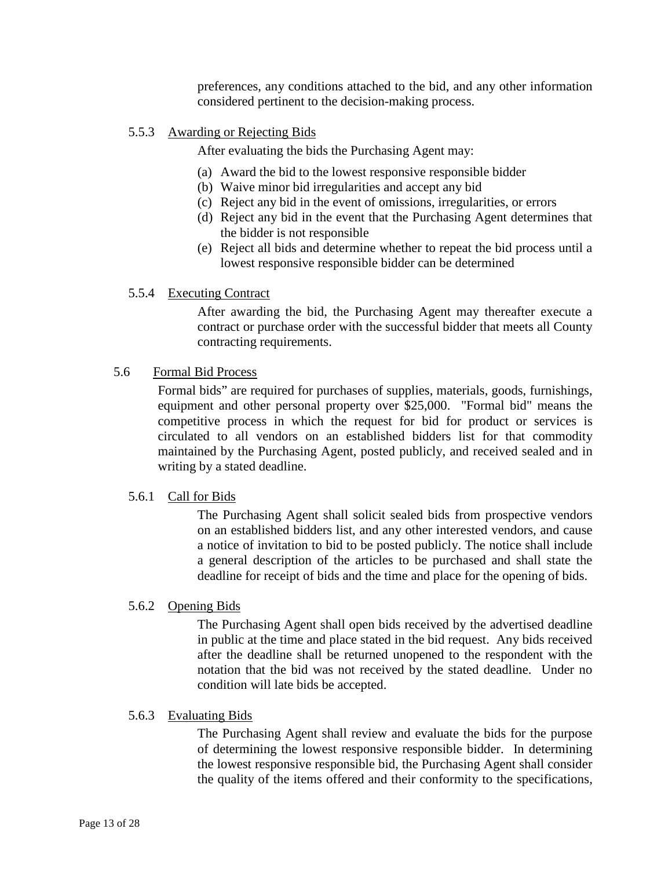preferences, any conditions attached to the bid, and any other information considered pertinent to the decision-making process.

# <span id="page-16-0"></span>5.5.3 Awarding or Rejecting Bids

After evaluating the bids the Purchasing Agent may:

- (a) Award the bid to the lowest responsive responsible bidder
- (b) Waive minor bid irregularities and accept any bid
- (c) Reject any bid in the event of omissions, irregularities, or errors
- (d) Reject any bid in the event that the Purchasing Agent determines that the bidder is not responsible
- (e) Reject all bids and determine whether to repeat the bid process until a lowest responsive responsible bidder can be determined

# <span id="page-16-1"></span>5.5.4 Executing Contract

After awarding the bid, the Purchasing Agent may thereafter execute a contract or purchase order with the successful bidder that meets all County contracting requirements.

# <span id="page-16-2"></span>5.6 Formal Bid Process

Formal bids" are required for purchases of supplies, materials, goods, furnishings, equipment and other personal property over \$25,000. "Formal bid" means the competitive process in which the request for bid for product or services is circulated to all vendors on an established bidders list for that commodity maintained by the Purchasing Agent, posted publicly, and received sealed and in writing by a stated deadline.

# <span id="page-16-3"></span>5.6.1 Call for Bids

The Purchasing Agent shall solicit sealed bids from prospective vendors on an established bidders list, and any other interested vendors, and cause a notice of invitation to bid to be posted publicly. The notice shall include a general description of the articles to be purchased and shall state the deadline for receipt of bids and the time and place for the opening of bids.

# <span id="page-16-4"></span>5.6.2 Opening Bids

The Purchasing Agent shall open bids received by the advertised deadline in public at the time and place stated in the bid request. Any bids received after the deadline shall be returned unopened to the respondent with the notation that the bid was not received by the stated deadline. Under no condition will late bids be accepted.

# <span id="page-16-5"></span>5.6.3 Evaluating Bids

The Purchasing Agent shall review and evaluate the bids for the purpose of determining the lowest responsive responsible bidder. In determining the lowest responsive responsible bid, the Purchasing Agent shall consider the quality of the items offered and their conformity to the specifications,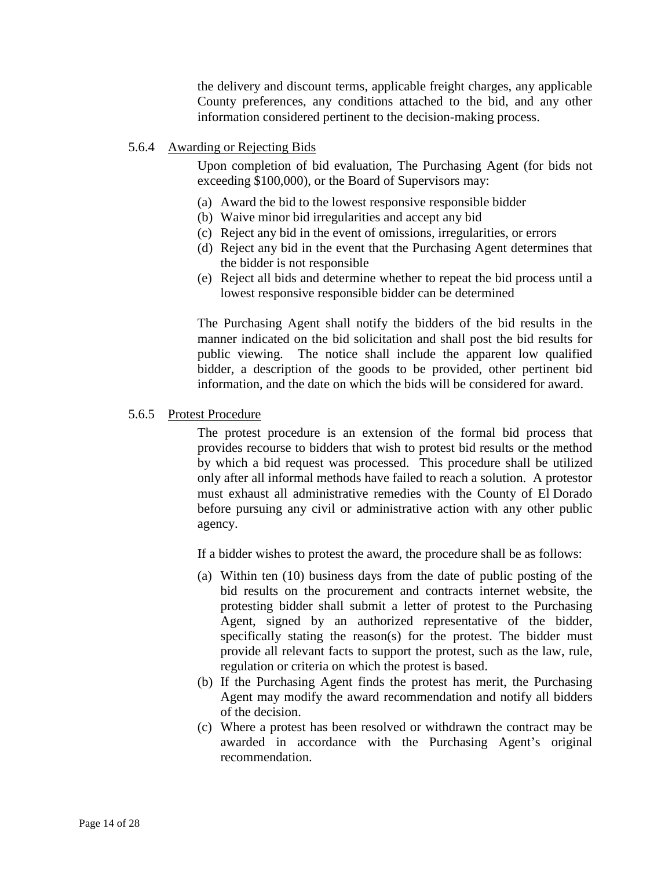the delivery and discount terms, applicable freight charges, any applicable County preferences, any conditions attached to the bid, and any other information considered pertinent to the decision-making process.

# <span id="page-17-0"></span>5.6.4 Awarding or Rejecting Bids

Upon completion of bid evaluation, The Purchasing Agent (for bids not exceeding \$100,000), or the Board of Supervisors may:

- (a) Award the bid to the lowest responsive responsible bidder
- (b) Waive minor bid irregularities and accept any bid
- (c) Reject any bid in the event of omissions, irregularities, or errors
- (d) Reject any bid in the event that the Purchasing Agent determines that the bidder is not responsible
- (e) Reject all bids and determine whether to repeat the bid process until a lowest responsive responsible bidder can be determined

The Purchasing Agent shall notify the bidders of the bid results in the manner indicated on the bid solicitation and shall post the bid results for public viewing. The notice shall include the apparent low qualified bidder, a description of the goods to be provided, other pertinent bid information, and the date on which the bids will be considered for award.

# <span id="page-17-1"></span>5.6.5 Protest Procedure

The protest procedure is an extension of the formal bid process that provides recourse to bidders that wish to protest bid results or the method by which a bid request was processed. This procedure shall be utilized only after all informal methods have failed to reach a solution. A protestor must exhaust all administrative remedies with the County of El Dorado before pursuing any civil or administrative action with any other public agency.

If a bidder wishes to protest the award, the procedure shall be as follows:

- (a) Within ten (10) business days from the date of public posting of the bid results on the procurement and contracts internet website, the protesting bidder shall submit a letter of protest to the Purchasing Agent, signed by an authorized representative of the bidder, specifically stating the reason(s) for the protest. The bidder must provide all relevant facts to support the protest, such as the law, rule, regulation or criteria on which the protest is based.
- (b) If the Purchasing Agent finds the protest has merit, the Purchasing Agent may modify the award recommendation and notify all bidders of the decision.
- (c) Where a protest has been resolved or withdrawn the contract may be awarded in accordance with the Purchasing Agent's original recommendation.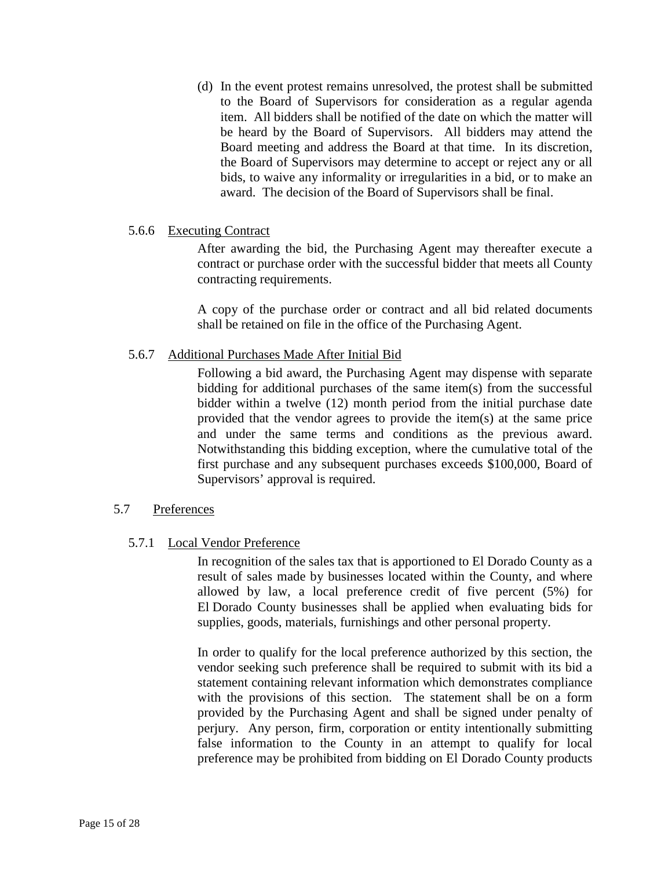(d) In the event protest remains unresolved, the protest shall be submitted to the Board of Supervisors for consideration as a regular agenda item. All bidders shall be notified of the date on which the matter will be heard by the Board of Supervisors. All bidders may attend the Board meeting and address the Board at that time. In its discretion, the Board of Supervisors may determine to accept or reject any or all bids, to waive any informality or irregularities in a bid, or to make an award. The decision of the Board of Supervisors shall be final.

# <span id="page-18-0"></span>5.6.6 Executing Contract

After awarding the bid, the Purchasing Agent may thereafter execute a contract or purchase order with the successful bidder that meets all County contracting requirements.

A copy of the purchase order or contract and all bid related documents shall be retained on file in the office of the Purchasing Agent.

#### <span id="page-18-1"></span>5.6.7 Additional Purchases Made After Initial Bid

Following a bid award, the Purchasing Agent may dispense with separate bidding for additional purchases of the same item(s) from the successful bidder within a twelve (12) month period from the initial purchase date provided that the vendor agrees to provide the item(s) at the same price and under the same terms and conditions as the previous award. Notwithstanding this bidding exception, where the cumulative total of the first purchase and any subsequent purchases exceeds \$100,000, Board of Supervisors' approval is required.

# <span id="page-18-3"></span><span id="page-18-2"></span>5.7 Preferences

# 5.7.1 Local Vendor Preference

In recognition of the sales tax that is apportioned to El Dorado County as a result of sales made by businesses located within the County, and where allowed by law, a local preference credit of five percent (5%) for El Dorado County businesses shall be applied when evaluating bids for supplies, goods, materials, furnishings and other personal property.

In order to qualify for the local preference authorized by this section, the vendor seeking such preference shall be required to submit with its bid a statement containing relevant information which demonstrates compliance with the provisions of this section. The statement shall be on a form provided by the Purchasing Agent and shall be signed under penalty of perjury. Any person, firm, corporation or entity intentionally submitting false information to the County in an attempt to qualify for local preference may be prohibited from bidding on El Dorado County products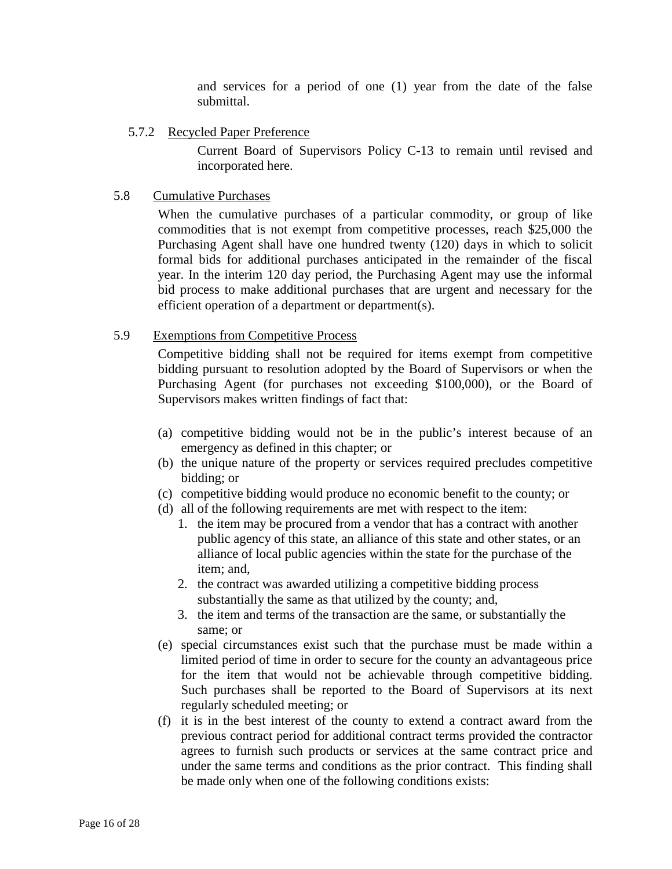and services for a period of one (1) year from the date of the false submittal.

# <span id="page-19-0"></span>5.7.2 Recycled Paper Preference

Current Board of Supervisors Policy C-13 to remain until revised and incorporated here.

# <span id="page-19-1"></span>5.8 Cumulative Purchases

When the cumulative purchases of a particular commodity, or group of like commodities that is not exempt from competitive processes, reach \$25,000 the Purchasing Agent shall have one hundred twenty (120) days in which to solicit formal bids for additional purchases anticipated in the remainder of the fiscal year. In the interim 120 day period, the Purchasing Agent may use the informal bid process to make additional purchases that are urgent and necessary for the efficient operation of a department or department(s).

# <span id="page-19-2"></span>5.9 Exemptions from Competitive Process

Competitive bidding shall not be required for items exempt from competitive bidding pursuant to resolution adopted by the Board of Supervisors or when the Purchasing Agent (for purchases not exceeding \$100,000), or the Board of Supervisors makes written findings of fact that:

- (a) competitive bidding would not be in the public's interest because of an emergency as defined in this chapter; or
- (b) the unique nature of the property or services required precludes competitive bidding; or
- (c) competitive bidding would produce no economic benefit to the county; or
- (d) all of the following requirements are met with respect to the item:
	- 1. the item may be procured from a vendor that has a contract with another public agency of this state, an alliance of this state and other states, or an alliance of local public agencies within the state for the purchase of the item; and,
	- 2. the contract was awarded utilizing a competitive bidding process substantially the same as that utilized by the county; and,
	- 3. the item and terms of the transaction are the same, or substantially the same; or
- (e) special circumstances exist such that the purchase must be made within a limited period of time in order to secure for the county an advantageous price for the item that would not be achievable through competitive bidding. Such purchases shall be reported to the Board of Supervisors at its next regularly scheduled meeting; or
- (f) it is in the best interest of the county to extend a contract award from the previous contract period for additional contract terms provided the contractor agrees to furnish such products or services at the same contract price and under the same terms and conditions as the prior contract. This finding shall be made only when one of the following conditions exists: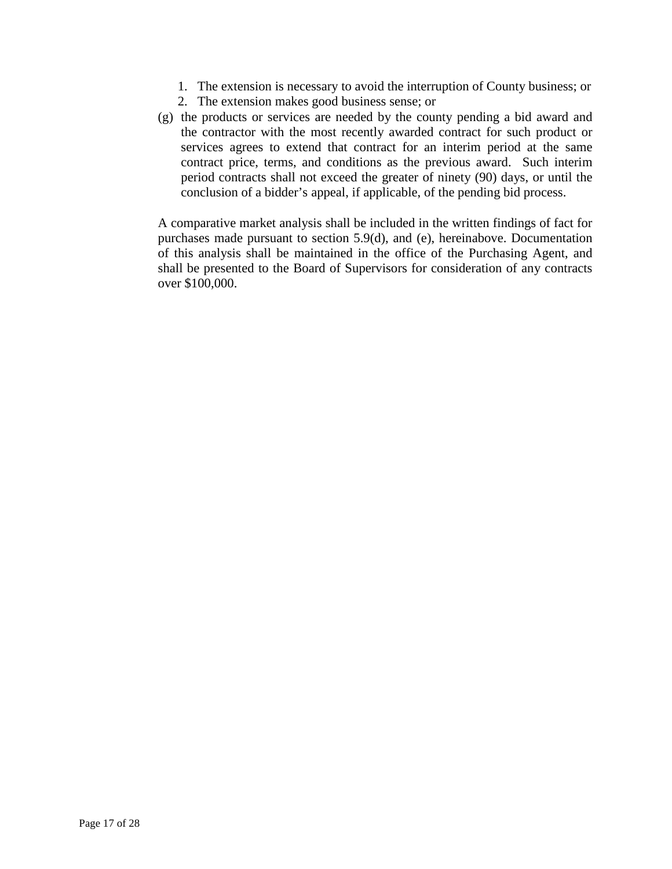- 1. The extension is necessary to avoid the interruption of County business; or
- 2. The extension makes good business sense; or
- (g) the products or services are needed by the county pending a bid award and the contractor with the most recently awarded contract for such product or services agrees to extend that contract for an interim period at the same contract price, terms, and conditions as the previous award. Such interim period contracts shall not exceed the greater of ninety (90) days, or until the conclusion of a bidder's appeal, if applicable, of the pending bid process.

A comparative market analysis shall be included in the written findings of fact for purchases made pursuant to section 5.9(d), and (e), hereinabove. Documentation of this analysis shall be maintained in the office of the Purchasing Agent, and shall be presented to the Board of Supervisors for consideration of any contracts over \$100,000.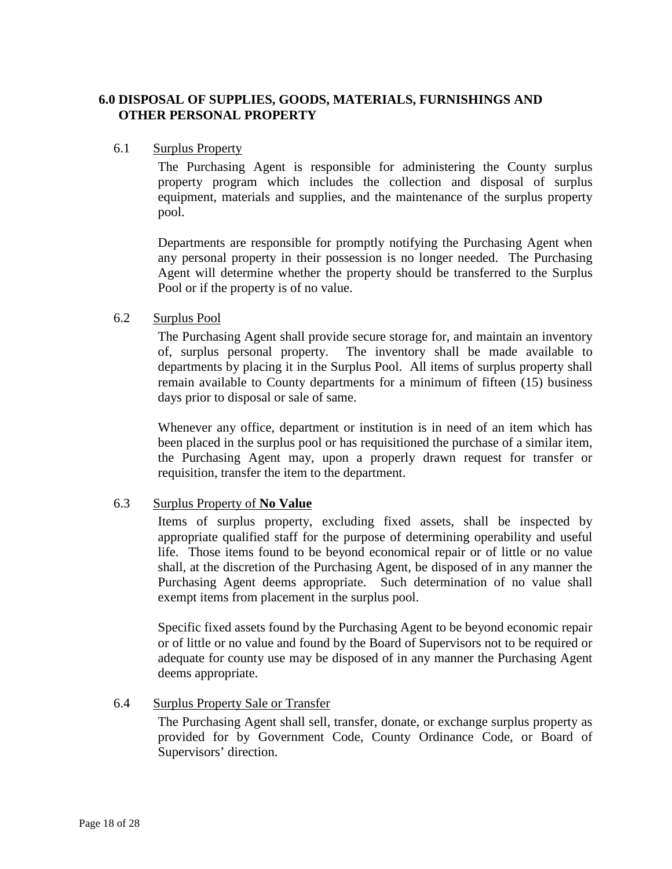# <span id="page-21-0"></span>**6.0 DISPOSAL OF SUPPLIES, GOODS, MATERIALS, FURNISHINGS AND OTHER PERSONAL PROPERTY**

#### <span id="page-21-1"></span>6.1 Surplus Property

The Purchasing Agent is responsible for administering the County surplus property program which includes the collection and disposal of surplus equipment, materials and supplies, and the maintenance of the surplus property pool.

Departments are responsible for promptly notifying the Purchasing Agent when any personal property in their possession is no longer needed. The Purchasing Agent will determine whether the property should be transferred to the Surplus Pool or if the property is of no value.

#### <span id="page-21-2"></span>6.2 Surplus Pool

The Purchasing Agent shall provide secure storage for, and maintain an inventory of, surplus personal property. The inventory shall be made available to departments by placing it in the Surplus Pool. All items of surplus property shall remain available to County departments for a minimum of fifteen (15) business days prior to disposal or sale of same.

Whenever any office, department or institution is in need of an item which has been placed in the surplus pool or has requisitioned the purchase of a similar item, the Purchasing Agent may, upon a properly drawn request for transfer or requisition, transfer the item to the department.

# <span id="page-21-3"></span>6.3 Surplus Property of **No Value**

Items of surplus property, excluding fixed assets, shall be inspected by appropriate qualified staff for the purpose of determining operability and useful life. Those items found to be beyond economical repair or of little or no value shall, at the discretion of the Purchasing Agent, be disposed of in any manner the Purchasing Agent deems appropriate. Such determination of no value shall exempt items from placement in the surplus pool.

Specific fixed assets found by the Purchasing Agent to be beyond economic repair or of little or no value and found by the Board of Supervisors not to be required or adequate for county use may be disposed of in any manner the Purchasing Agent deems appropriate.

# <span id="page-21-4"></span>6.4 Surplus Property Sale or Transfer

The Purchasing Agent shall sell, transfer, donate, or exchange surplus property as provided for by Government Code, County Ordinance Code, or Board of Supervisors' direction.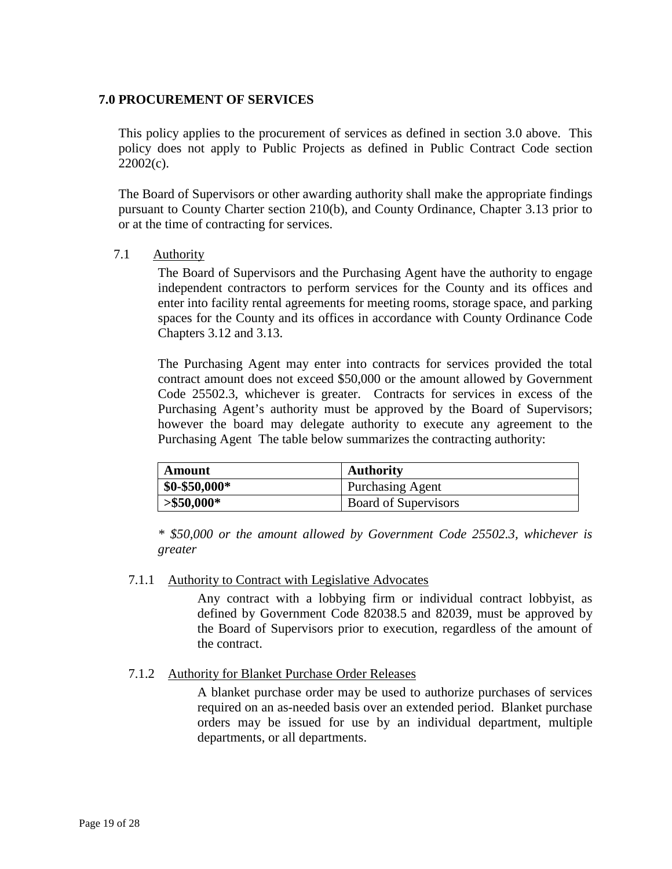# <span id="page-22-0"></span>**7.0 PROCUREMENT OF SERVICES**

This policy applies to the procurement of services as defined in section 3.0 above. This policy does not apply to Public Projects as defined in Public Contract Code section 22002(c).

The Board of Supervisors or other awarding authority shall make the appropriate findings pursuant to County Charter section 210(b), and County Ordinance, Chapter 3.13 prior to or at the time of contracting for services.

<span id="page-22-1"></span>7.1 Authority

The Board of Supervisors and the Purchasing Agent have the authority to engage independent contractors to perform services for the County and its offices and enter into facility rental agreements for meeting rooms, storage space, and parking spaces for the County and its offices in accordance with County Ordinance Code Chapters 3.12 and 3.13.

The Purchasing Agent may enter into contracts for services provided the total contract amount does not exceed \$50,000 or the amount allowed by Government Code 25502.3, whichever is greater. Contracts for services in excess of the Purchasing Agent's authority must be approved by the Board of Supervisors; however the board may delegate authority to execute any agreement to the Purchasing Agent The table below summarizes the contracting authority:

| Amount          | <b>Authority</b>        |
|-----------------|-------------------------|
| $$0 - $50,000*$ | <b>Purchasing Agent</b> |
| $> $50,000*$    | Board of Supervisors    |

*\* \$50,000 or the amount allowed by Government Code 25502.3, whichever is greater*

# <span id="page-22-2"></span>7.1.1 Authority to Contract with Legislative Advocates

Any contract with a lobbying firm or individual contract lobbyist, as defined by Government Code 82038.5 and 82039, must be approved by the Board of Supervisors prior to execution, regardless of the amount of the contract.

# <span id="page-22-3"></span>7.1.2 Authority for Blanket Purchase Order Releases

A blanket purchase order may be used to authorize purchases of services required on an as-needed basis over an extended period. Blanket purchase orders may be issued for use by an individual department, multiple departments, or all departments.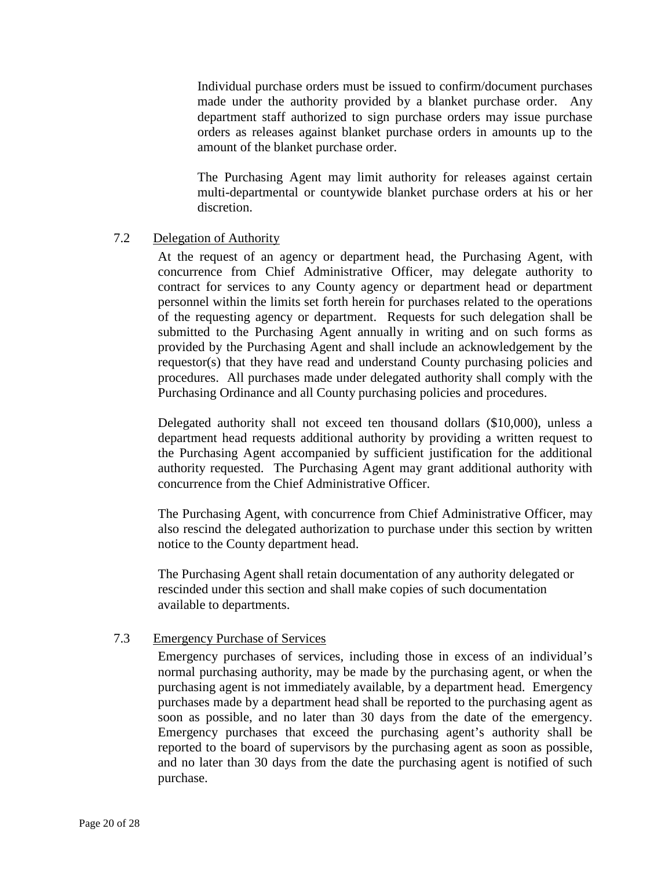Individual purchase orders must be issued to confirm/document purchases made under the authority provided by a blanket purchase order. Any department staff authorized to sign purchase orders may issue purchase orders as releases against blanket purchase orders in amounts up to the amount of the blanket purchase order.

The Purchasing Agent may limit authority for releases against certain multi-departmental or countywide blanket purchase orders at his or her discretion.

# <span id="page-23-0"></span>7.2 Delegation of Authority

At the request of an agency or department head, the Purchasing Agent, with concurrence from Chief Administrative Officer, may delegate authority to contract for services to any County agency or department head or department personnel within the limits set forth herein for purchases related to the operations of the requesting agency or department. Requests for such delegation shall be submitted to the Purchasing Agent annually in writing and on such forms as provided by the Purchasing Agent and shall include an acknowledgement by the requestor(s) that they have read and understand County purchasing policies and procedures. All purchases made under delegated authority shall comply with the Purchasing Ordinance and all County purchasing policies and procedures.

Delegated authority shall not exceed ten thousand dollars (\$10,000), unless a department head requests additional authority by providing a written request to the Purchasing Agent accompanied by sufficient justification for the additional authority requested. The Purchasing Agent may grant additional authority with concurrence from the Chief Administrative Officer.

The Purchasing Agent, with concurrence from Chief Administrative Officer, may also rescind the delegated authorization to purchase under this section by written notice to the County department head.

The Purchasing Agent shall retain documentation of any authority delegated or rescinded under this section and shall make copies of such documentation available to departments.

# 7.3 Emergency Purchase of Services

Emergency purchases of services, including those in excess of an individual's normal purchasing authority, may be made by the purchasing agent, or when the purchasing agent is not immediately available, by a department head. Emergency purchases made by a department head shall be reported to the purchasing agent as soon as possible, and no later than 30 days from the date of the emergency. Emergency purchases that exceed the purchasing agent's authority shall be reported to the board of supervisors by the purchasing agent as soon as possible, and no later than 30 days from the date the purchasing agent is notified of such purchase.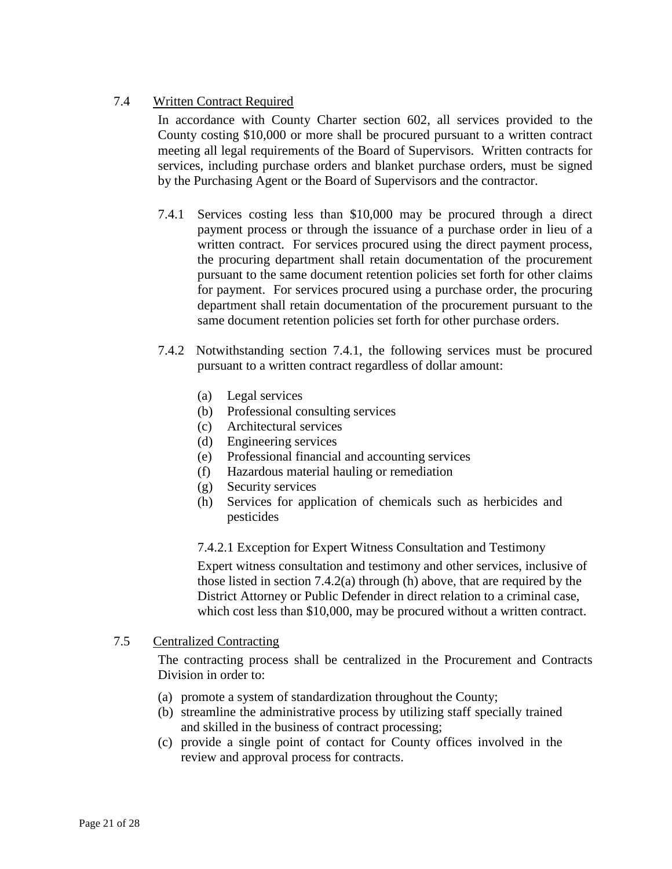# <span id="page-24-0"></span>7.4 Written Contract Required

In accordance with County Charter section 602, all services provided to the County costing \$10,000 or more shall be procured pursuant to a written contract meeting all legal requirements of the Board of Supervisors. Written contracts for services, including purchase orders and blanket purchase orders, must be signed by the Purchasing Agent or the Board of Supervisors and the contractor.

- 7.4.1 Services costing less than \$10,000 may be procured through a direct payment process or through the issuance of a purchase order in lieu of a written contract. For services procured using the direct payment process, the procuring department shall retain documentation of the procurement pursuant to the same document retention policies set forth for other claims for payment. For services procured using a purchase order, the procuring department shall retain documentation of the procurement pursuant to the same document retention policies set forth for other purchase orders.
- 7.4.2 Notwithstanding section 7.4.1, the following services must be procured pursuant to a written contract regardless of dollar amount:
	- (a) Legal services
	- (b) Professional consulting services
	- (c) Architectural services
	- (d) Engineering services
	- (e) Professional financial and accounting services
	- (f) Hazardous material hauling or remediation
	- (g) Security services
	- (h) Services for application of chemicals such as herbicides and pesticides

# 7.4.2.1 Exception for Expert Witness Consultation and Testimony

Expert witness consultation and testimony and other services, inclusive of those listed in section 7.4.2(a) through (h) above, that are required by the District Attorney or Public Defender in direct relation to a criminal case, which cost less than \$10,000, may be procured without a written contract.

# <span id="page-24-1"></span>7.5 Centralized Contracting

The contracting process shall be centralized in the Procurement and Contracts Division in order to:

- (a) promote a system of standardization throughout the County;
- (b) streamline the administrative process by utilizing staff specially trained and skilled in the business of contract processing;
- (c) provide a single point of contact for County offices involved in the review and approval process for contracts.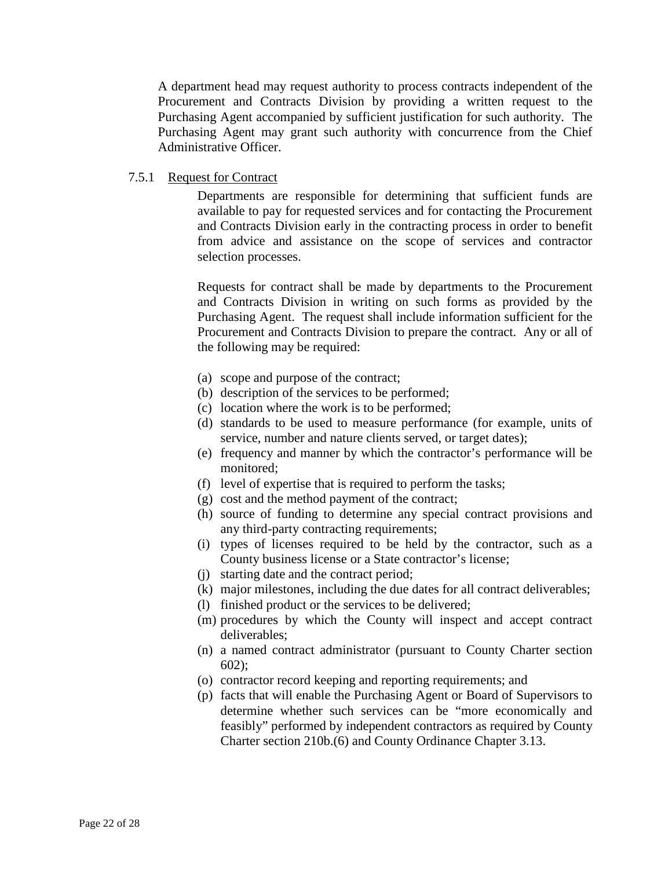A department head may request authority to process contracts independent of the Procurement and Contracts Division by providing a written request to the Purchasing Agent accompanied by sufficient justification for such authority. The Purchasing Agent may grant such authority with concurrence from the Chief Administrative Officer.

# <span id="page-25-0"></span>7.5.1 Request for Contract

Departments are responsible for determining that sufficient funds are available to pay for requested services and for contacting the Procurement and Contracts Division early in the contracting process in order to benefit from advice and assistance on the scope of services and contractor selection processes.

Requests for contract shall be made by departments to the Procurement and Contracts Division in writing on such forms as provided by the Purchasing Agent. The request shall include information sufficient for the Procurement and Contracts Division to prepare the contract. Any or all of the following may be required:

- (a) scope and purpose of the contract;
- (b) description of the services to be performed;
- (c) location where the work is to be performed;
- (d) standards to be used to measure performance (for example, units of service, number and nature clients served, or target dates);
- (e) frequency and manner by which the contractor's performance will be monitored;
- (f) level of expertise that is required to perform the tasks;
- (g) cost and the method payment of the contract;
- (h) source of funding to determine any special contract provisions and any third-party contracting requirements;
- (i) types of licenses required to be held by the contractor, such as a County business license or a State contractor's license;
- (j) starting date and the contract period;
- (k) major milestones, including the due dates for all contract deliverables;
- (l) finished product or the services to be delivered;
- (m) procedures by which the County will inspect and accept contract deliverables;
- (n) a named contract administrator (pursuant to County Charter section 602);
- (o) contractor record keeping and reporting requirements; and
- (p) facts that will enable the Purchasing Agent or Board of Supervisors to determine whether such services can be "more economically and feasibly" performed by independent contractors as required by County Charter section 210b.(6) and County Ordinance Chapter 3.13.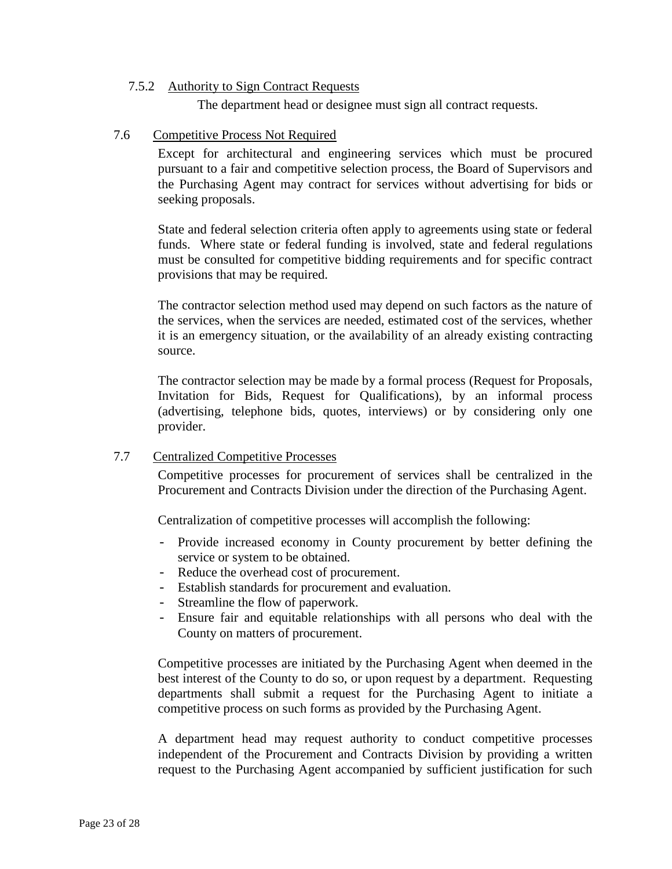#### <span id="page-26-0"></span>7.5.2 Authority to Sign Contract Requests

The department head or designee must sign all contract requests.

### <span id="page-26-1"></span>7.6 Competitive Process Not Required

Except for architectural and engineering services which must be procured pursuant to a fair and competitive selection process, the Board of Supervisors and the Purchasing Agent may contract for services without advertising for bids or seeking proposals.

State and federal selection criteria often apply to agreements using state or federal funds. Where state or federal funding is involved, state and federal regulations must be consulted for competitive bidding requirements and for specific contract provisions that may be required.

The contractor selection method used may depend on such factors as the nature of the services, when the services are needed, estimated cost of the services, whether it is an emergency situation, or the availability of an already existing contracting source.

The contractor selection may be made by a formal process (Request for Proposals, Invitation for Bids, Request for Qualifications), by an informal process (advertising, telephone bids, quotes, interviews) or by considering only one provider.

# <span id="page-26-2"></span>7.7 Centralized Competitive Processes

Competitive processes for procurement of services shall be centralized in the Procurement and Contracts Division under the direction of the Purchasing Agent.

Centralization of competitive processes will accomplish the following:

- Provide increased economy in County procurement by better defining the service or system to be obtained.
- Reduce the overhead cost of procurement.
- Establish standards for procurement and evaluation.
- Streamline the flow of paperwork.
- Ensure fair and equitable relationships with all persons who deal with the County on matters of procurement.

Competitive processes are initiated by the Purchasing Agent when deemed in the best interest of the County to do so, or upon request by a department. Requesting departments shall submit a request for the Purchasing Agent to initiate a competitive process on such forms as provided by the Purchasing Agent.

A department head may request authority to conduct competitive processes independent of the Procurement and Contracts Division by providing a written request to the Purchasing Agent accompanied by sufficient justification for such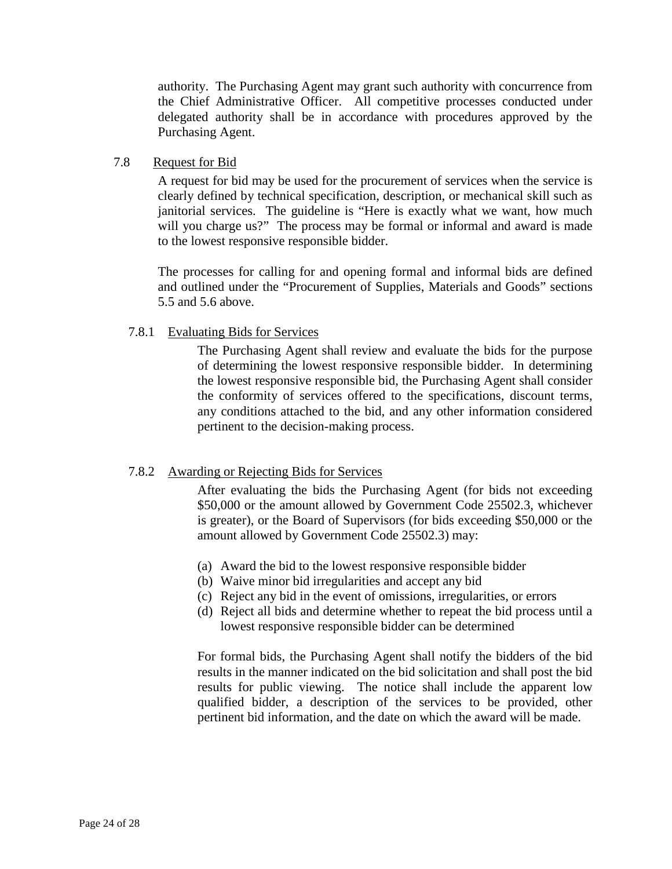authority. The Purchasing Agent may grant such authority with concurrence from the Chief Administrative Officer. All competitive processes conducted under delegated authority shall be in accordance with procedures approved by the Purchasing Agent.

### <span id="page-27-0"></span>7.8 Request for Bid

A request for bid may be used for the procurement of services when the service is clearly defined by technical specification, description, or mechanical skill such as janitorial services. The guideline is "Here is exactly what we want, how much will you charge us?" The process may be formal or informal and award is made to the lowest responsive responsible bidder.

The processes for calling for and opening formal and informal bids are defined and outlined under the "Procurement of Supplies, Materials and Goods" sections 5.5 and 5.6 above.

# <span id="page-27-1"></span>7.8.1 Evaluating Bids for Services

The Purchasing Agent shall review and evaluate the bids for the purpose of determining the lowest responsive responsible bidder. In determining the lowest responsive responsible bid, the Purchasing Agent shall consider the conformity of services offered to the specifications, discount terms, any conditions attached to the bid, and any other information considered pertinent to the decision-making process.

# <span id="page-27-2"></span>7.8.2 Awarding or Rejecting Bids for Services

After evaluating the bids the Purchasing Agent (for bids not exceeding \$50,000 or the amount allowed by Government Code 25502.3, whichever is greater), or the Board of Supervisors (for bids exceeding \$50,000 or the amount allowed by Government Code 25502.3) may:

- (a) Award the bid to the lowest responsive responsible bidder
- (b) Waive minor bid irregularities and accept any bid
- (c) Reject any bid in the event of omissions, irregularities, or errors
- (d) Reject all bids and determine whether to repeat the bid process until a lowest responsive responsible bidder can be determined

For formal bids, the Purchasing Agent shall notify the bidders of the bid results in the manner indicated on the bid solicitation and shall post the bid results for public viewing. The notice shall include the apparent low qualified bidder, a description of the services to be provided, other pertinent bid information, and the date on which the award will be made.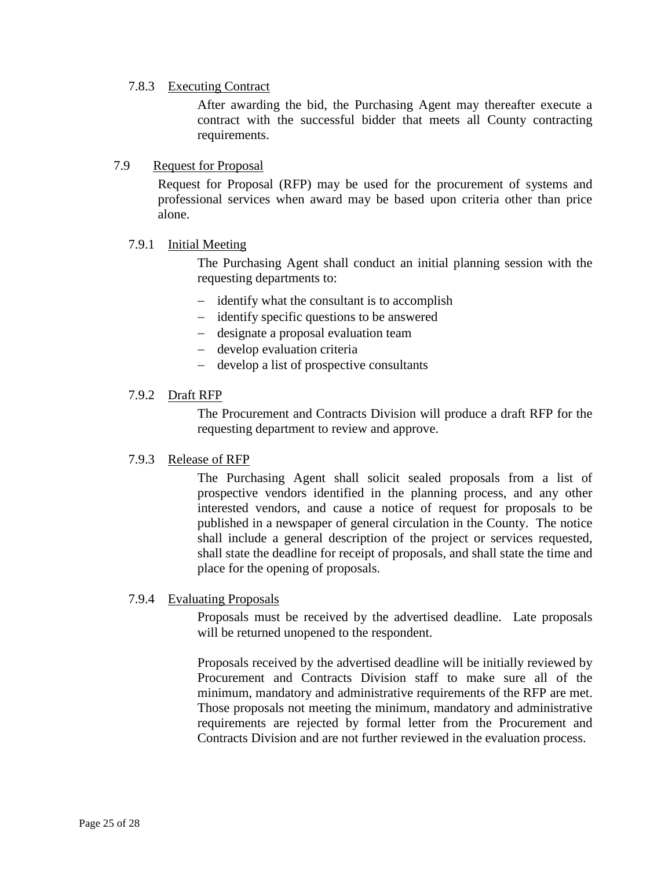# <span id="page-28-0"></span>7.8.3 Executing Contract

After awarding the bid, the Purchasing Agent may thereafter execute a contract with the successful bidder that meets all County contracting requirements.

# <span id="page-28-1"></span>7.9 Request for Proposal

Request for Proposal (RFP) may be used for the procurement of systems and professional services when award may be based upon criteria other than price alone.

#### <span id="page-28-2"></span>7.9.1 Initial Meeting

The Purchasing Agent shall conduct an initial planning session with the requesting departments to:

- − identify what the consultant is to accomplish
- − identify specific questions to be answered
- − designate a proposal evaluation team
- − develop evaluation criteria
- − develop a list of prospective consultants

#### <span id="page-28-3"></span>7.9.2 Draft RFP

The Procurement and Contracts Division will produce a draft RFP for the requesting department to review and approve.

#### <span id="page-28-4"></span>7.9.3 Release of RFP

The Purchasing Agent shall solicit sealed proposals from a list of prospective vendors identified in the planning process, and any other interested vendors, and cause a notice of request for proposals to be published in a newspaper of general circulation in the County. The notice shall include a general description of the project or services requested, shall state the deadline for receipt of proposals, and shall state the time and place for the opening of proposals.

#### <span id="page-28-5"></span>7.9.4 Evaluating Proposals

Proposals must be received by the advertised deadline. Late proposals will be returned unopened to the respondent.

Proposals received by the advertised deadline will be initially reviewed by Procurement and Contracts Division staff to make sure all of the minimum, mandatory and administrative requirements of the RFP are met. Those proposals not meeting the minimum, mandatory and administrative requirements are rejected by formal letter from the Procurement and Contracts Division and are not further reviewed in the evaluation process.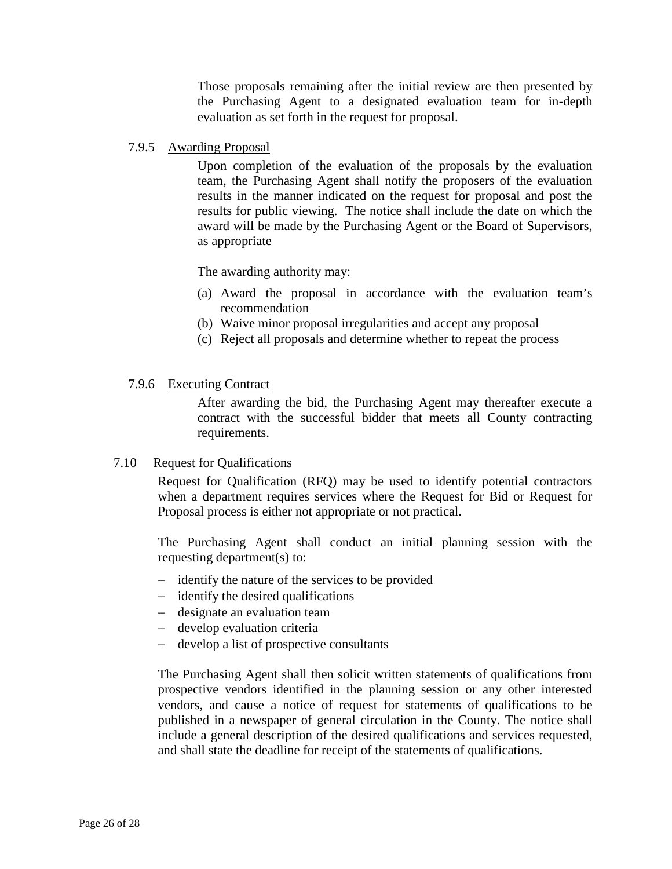Those proposals remaining after the initial review are then presented by the Purchasing Agent to a designated evaluation team for in-depth evaluation as set forth in the request for proposal.

### <span id="page-29-0"></span>7.9.5 Awarding Proposal

Upon completion of the evaluation of the proposals by the evaluation team, the Purchasing Agent shall notify the proposers of the evaluation results in the manner indicated on the request for proposal and post the results for public viewing. The notice shall include the date on which the award will be made by the Purchasing Agent or the Board of Supervisors, as appropriate

The awarding authority may:

- (a) Award the proposal in accordance with the evaluation team's recommendation
- (b) Waive minor proposal irregularities and accept any proposal
- (c) Reject all proposals and determine whether to repeat the process

#### <span id="page-29-1"></span>7.9.6 Executing Contract

After awarding the bid, the Purchasing Agent may thereafter execute a contract with the successful bidder that meets all County contracting requirements.

#### <span id="page-29-2"></span>7.10 Request for Qualifications

Request for Qualification (RFQ) may be used to identify potential contractors when a department requires services where the Request for Bid or Request for Proposal process is either not appropriate or not practical.

The Purchasing Agent shall conduct an initial planning session with the requesting department(s) to:

- − identify the nature of the services to be provided
- − identify the desired qualifications
- − designate an evaluation team
- − develop evaluation criteria
- − develop a list of prospective consultants

The Purchasing Agent shall then solicit written statements of qualifications from prospective vendors identified in the planning session or any other interested vendors, and cause a notice of request for statements of qualifications to be published in a newspaper of general circulation in the County. The notice shall include a general description of the desired qualifications and services requested, and shall state the deadline for receipt of the statements of qualifications.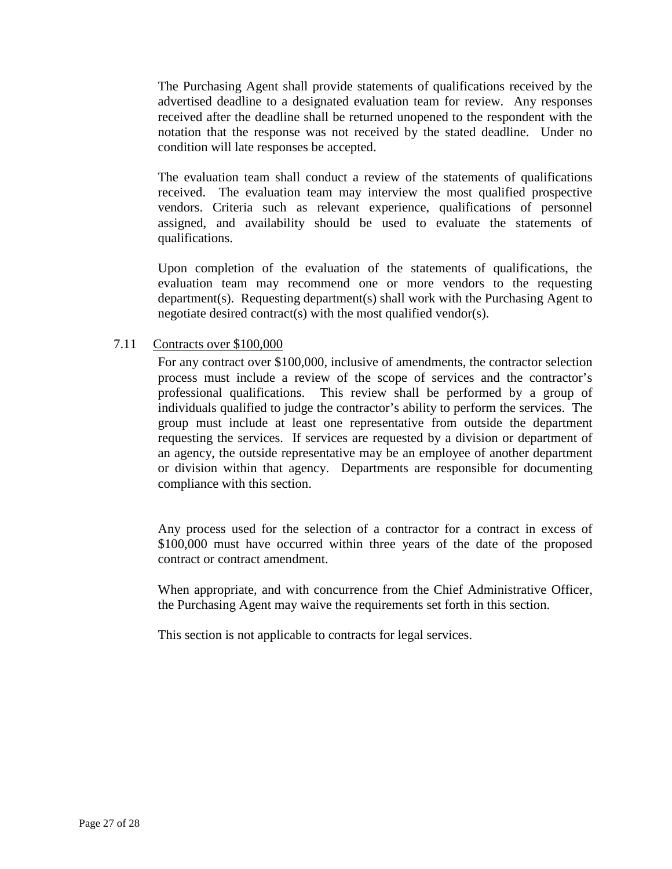The Purchasing Agent shall provide statements of qualifications received by the advertised deadline to a designated evaluation team for review. Any responses received after the deadline shall be returned unopened to the respondent with the notation that the response was not received by the stated deadline. Under no condition will late responses be accepted.

The evaluation team shall conduct a review of the statements of qualifications received. The evaluation team may interview the most qualified prospective vendors. Criteria such as relevant experience, qualifications of personnel assigned, and availability should be used to evaluate the statements of qualifications.

Upon completion of the evaluation of the statements of qualifications, the evaluation team may recommend one or more vendors to the requesting department(s). Requesting department(s) shall work with the Purchasing Agent to negotiate desired contract(s) with the most qualified vendor(s).

# <span id="page-30-0"></span>7.11 Contracts over \$100,000

For any contract over \$100,000, inclusive of amendments, the contractor selection process must include a review of the scope of services and the contractor's professional qualifications. This review shall be performed by a group of individuals qualified to judge the contractor's ability to perform the services. The group must include at least one representative from outside the department requesting the services. If services are requested by a division or department of an agency, the outside representative may be an employee of another department or division within that agency. Departments are responsible for documenting compliance with this section.

Any process used for the selection of a contractor for a contract in excess of \$100,000 must have occurred within three years of the date of the proposed contract or contract amendment.

When appropriate, and with concurrence from the Chief Administrative Officer, the Purchasing Agent may waive the requirements set forth in this section.

This section is not applicable to contracts for legal services.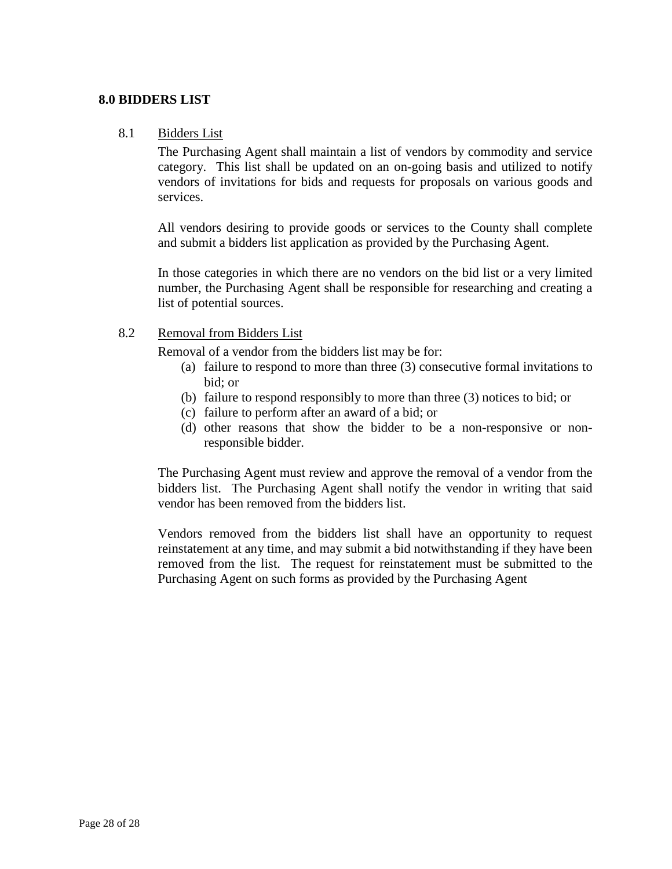# <span id="page-31-1"></span><span id="page-31-0"></span>**8.0 BIDDERS LIST**

### 8.1 Bidders List

The Purchasing Agent shall maintain a list of vendors by commodity and service category. This list shall be updated on an on-going basis and utilized to notify vendors of invitations for bids and requests for proposals on various goods and services.

All vendors desiring to provide goods or services to the County shall complete and submit a bidders list application as provided by the Purchasing Agent.

In those categories in which there are no vendors on the bid list or a very limited number, the Purchasing Agent shall be responsible for researching and creating a list of potential sources.

### <span id="page-31-2"></span>8.2 Removal from Bidders List

Removal of a vendor from the bidders list may be for:

- (a) failure to respond to more than three (3) consecutive formal invitations to bid; or
- (b) failure to respond responsibly to more than three (3) notices to bid; or
- (c) failure to perform after an award of a bid; or
- (d) other reasons that show the bidder to be a non-responsive or nonresponsible bidder.

The Purchasing Agent must review and approve the removal of a vendor from the bidders list. The Purchasing Agent shall notify the vendor in writing that said vendor has been removed from the bidders list.

Vendors removed from the bidders list shall have an opportunity to request reinstatement at any time, and may submit a bid notwithstanding if they have been removed from the list. The request for reinstatement must be submitted to the Purchasing Agent on such forms as provided by the Purchasing Agent